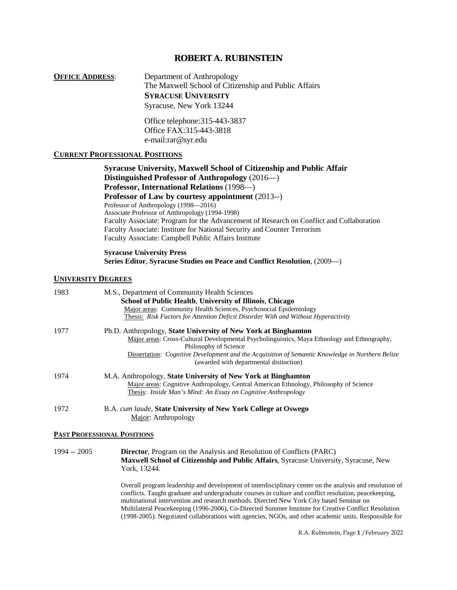# **ROBERT A. RUBINSTEIN**

**OFFICE ADDRESS:** Department of Anthropology The Maxwell School of Citizenship and Public Affairs **SYRACUSE UNIVERSITY** Syracuse, New York 13244

> Office telephone:315-443-3837 Office FAX:315-443-3818 e-mail:rar@syr.edu

# **CURRENT PROFESSIONAL POSITIONS**

**Syracuse University, Maxwell School of Citizenship and Public Affair Distinguished Professor of Anthropology** (2016—) **Professor, International Relations** (1998—) **Professor of Law by courtesy appointment** (2013--) Professor of Anthropology (1998—2016) Associate Professor of Anthropology (1994-1998) Faculty Associate: Program for the Advancement of Research on Conflict and Collaboration Faculty Associate: Institute for National Security and Counter Terrorism Faculty Associate: Campbell Public Affairs Institute

#### **Syracuse University Press Series Editor**, **Syracuse Studies on Peace and Conflict Resolution**, (2009—)

#### **UNIVERSITY DEGREES**

| 1983 | M.S., Department of Community Health Sciences<br>School of Public Health, University of Illinois, Chicago<br>Major areas: Community Health Sciences, Psychosocial Epidemiology<br>Thesis: Risk Factors for Attention Deficit Disorder With and Without Hyperactivity |
|------|----------------------------------------------------------------------------------------------------------------------------------------------------------------------------------------------------------------------------------------------------------------------|
| 1977 | Ph.D. Anthropology, State University of New York at Binghamton<br>Major areas: Cross-Cultural Developmental Psycholinguistics, Maya Ethnology and Ethnography,                                                                                                       |
|      | Philosophy of Science<br>Dissertation: Cognitive Development and the Acquisition of Semantic Knowledge in Northern Belize<br>(awarded with departmental distinction)                                                                                                 |
| 1974 | M.A. Anthropology, State University of New York at Binghamton<br>Major areas: Cognitive Anthropology, Central American Ethnology, Philosophy of Science<br>Thesis: <i>Inside Man's Mind: An Essay on Cognitive Anthropology</i>                                      |
| 1972 | B.A. cum laude, State University of New York College at Oswego<br>Major: Anthropology                                                                                                                                                                                |

#### **PAST PROFESSIONAL POSITIONS**

1994 -- 2005 **Director**, Program on the Analysis and Resolution of Conflicts (PARC) **Maxwell School of Citizenship and Public Affairs**, Syracuse University, Syracuse, New York, 13244.

> Overall program leadership and development of interdisciplinary center on the analysis and resolution of conflicts. Taught graduate and undergraduate courses in culture and conflict resolution, peacekeeping, multinational intervention and research methods. Directed New York City based Seminar on Multilateral Peacekeeping (1996-2006), Co-Directed Summer Institute for Creative Conflict Resolution (1998-2005). Negotiated collaborations with agencies, NGOs, and other academic units. Responsible for

> > R.A. Rubinstein, Page **1** /February 2022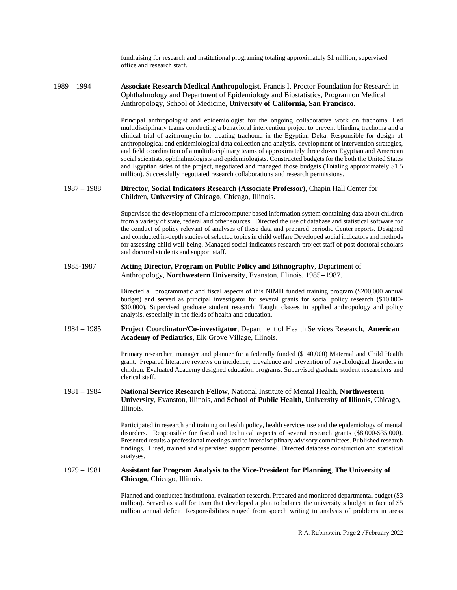fundraising for research and institutional programing totaling approximately \$1 million, supervised office and research staff.

1989 – 1994 **Associate Research Medical Anthropologist**, Francis I. Proctor Foundation for Research in Ophthalmology and Department of Epidemiology and Biostatistics, Program on Medical Anthropology, School of Medicine, **University of California, San Francisco.** 

> Principal anthropologist and epidemiologist for the ongoing collaborative work on trachoma. Led multidisciplinary teams conducting a behavioral intervention project to prevent blinding trachoma and a clinical trial of azithromycin for treating trachoma in the Egyptian Delta. Responsible for design of anthropological and epidemiological data collection and analysis, development of intervention strategies, and field coordination of a multidisciplinary teams of approximately three dozen Egyptian and American social scientists, ophthalmologists and epidemiologists. Constructed budgets for the both the United States and Egyptian sides of the project, negotiated and managed those budgets (Totaling approximately \$1.5 million). Successfully negotiated research collaborations and research permissions.

#### 1987 – 1988 **Director, Social Indicators Research (Associate Professor)**, Chapin Hall Center for Children, **University of Chicago**, Chicago, Illinois.

Supervised the development of a microcomputer based information system containing data about children from a variety of state, federal and other sources. Directed the use of database and statistical software for the conduct of policy relevant of analyses of these data and prepared periodic Center reports. Designed and conducted in-depth studies of selected topics in child welfare Developed social indicators and methods for assessing child well-being. Managed social indicators research project staff of post doctoral scholars and doctoral students and support staff.

#### 1985-1987 **Acting Director, Program on Public Policy and Ethnography**, Department of Anthropology, **Northwestern University**, Evanston, Illinois, 1985--1987.

Directed all programmatic and fiscal aspects of this NIMH funded training program (\$200,000 annual budget) and served as principal investigator for several grants for social policy research (\$10,000- \$30,000). Supervised graduate student research. Taught classes in applied anthropology and policy analysis, especially in the fields of health and education.

## 1984 – 1985 **Project Coordinator/Co-investigator**, Department of Health Services Research, **American Academy of Pediatrics**, Elk Grove Village, Illinois.

Primary researcher, manager and planner for a federally funded (\$140,000) Maternal and Child Health grant. Prepared literature reviews on incidence, prevalence and prevention of psychological disorders in children. Evaluated Academy designed education programs. Supervised graduate student researchers and clerical staff.

#### 1981 – 1984 **National Service Research Fellow**, National Institute of Mental Health, **Northwestern University**, Evanston, Illinois, and **School of Public Health, University of Illinois**, Chicago, Illinois.

Participated in research and training on health policy, health services use and the epidemiology of mental disorders. Responsible for fiscal and technical aspects of several research grants (\$8,000-\$35,000). Presented results a professional meetings and to interdisciplinary advisory committees. Published research findings. Hired, trained and supervised support personnel. Directed database construction and statistical analyses.

#### 1979 – 1981 **Assistant for Program Analysis to the Vice-President for Planning**, **The University of Chicago**, Chicago, Illinois.

Planned and conducted institutional evaluation research. Prepared and monitored departmental budget (\$3 million). Served as staff for team that developed a plan to balance the university's budget in face of \$5 million annual deficit. Responsibilities ranged from speech writing to analysis of problems in areas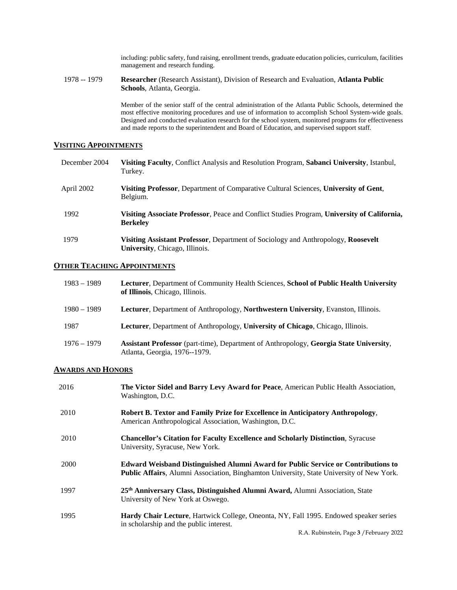including: public safety, fund raising, enrollment trends, graduate education policies, curriculum, facilities management and research funding.

1978 -- 1979 **Researcher** (Research Assistant), Division of Research and Evaluation, **Atlanta Public Schools**, Atlanta, Georgia.

> Member of the senior staff of the central administration of the Atlanta Public Schools, determined the most effective monitoring procedures and use of information to accomplish School System-wide goals. Designed and conducted evaluation research for the school system, monitored programs for effectiveness and made reports to the superintendent and Board of Education, and supervised support staff.

# **VISITING APPOINTMENTS**

| December 2004 | Visiting Faculty, Conflict Analysis and Resolution Program, Sabanci University, Istanbul,<br>Turkey.                |
|---------------|---------------------------------------------------------------------------------------------------------------------|
| April 2002    | <b>Visiting Professor, Department of Comparative Cultural Sciences, University of Gent,</b><br>Belgium.             |
| 1992          | Visiting Associate Professor, Peace and Conflict Studies Program, University of California,<br><b>Berkeley</b>      |
| 1979          | Visiting Assistant Professor, Department of Sociology and Anthropology, Roosevelt<br>University, Chicago, Illinois. |

# **OTHER TEACHING APPOINTMENTS**

| $1983 - 1989$ | Lecturer, Department of Community Health Sciences, School of Public Health University<br>of Illinois, Chicago, Illinois.       |
|---------------|--------------------------------------------------------------------------------------------------------------------------------|
| $1980 - 1989$ | Lecturer, Department of Anthropology, Northwestern University, Evanston, Illinois.                                             |
| 1987          | Lecturer, Department of Anthropology, University of Chicago, Chicago, Illinois.                                                |
| $1976 - 1979$ | <b>Assistant Professor</b> (part-time), Department of Anthropology, Georgia State University,<br>Atlanta, Georgia, 1976--1979. |

# **AWARDS AND HONORS**

| 2016 | The Victor Sidel and Barry Levy Award for Peace, American Public Health Association,<br>Washington, D.C.                                                                                    |
|------|---------------------------------------------------------------------------------------------------------------------------------------------------------------------------------------------|
| 2010 | Robert B. Textor and Family Prize for Excellence in Anticipatory Anthropology,<br>American Anthropological Association, Washington, D.C.                                                    |
| 2010 | <b>Chancellor's Citation for Faculty Excellence and Scholarly Distinction, Syracuse</b><br>University, Syracuse, New York.                                                                  |
| 2000 | <b>Edward Weisband Distinguished Alumni Award for Public Service or Contributions to</b><br><b>Public Affairs, Alumni Association, Binghamton University, State University of New York.</b> |
| 1997 | 25 <sup>th</sup> Anniversary Class, Distinguished Alumni Award, Alumni Association, State<br>University of New York at Oswego.                                                              |
| 1995 | Hardy Chair Lecture, Hartwick College, Oneonta, NY, Fall 1995. Endowed speaker series<br>in scholarship and the public interest.                                                            |
|      | R.A. Rubinstein, Page 3 / February 2022                                                                                                                                                     |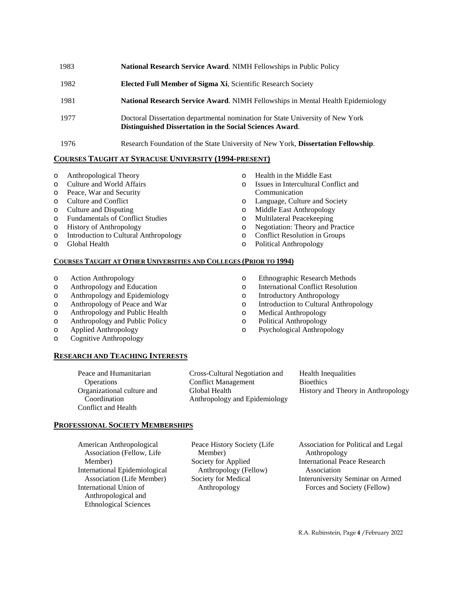| 1983 | National Research Service Award. NIMH Fellowships in Public Policy                                                                         |
|------|--------------------------------------------------------------------------------------------------------------------------------------------|
| 1982 | Elected Full Member of Sigma Xi, Scientific Research Society                                                                               |
| 1981 | <b>National Research Service Award.</b> NIMH Fellowships in Mental Health Epidemiology                                                     |
| 1977 | Doctoral Dissertation departmental nomination for State University of New York<br>Distinguished Dissertation in the Social Sciences Award. |
| 1976 | Research Foundation of the State University of New York, Dissertation Fellowship.                                                          |

# **COURSES TAUGHT AT SYRACUSE UNIVERSITY (1994-PRESENT)**

- o Anthropological Theory
- o Culture and World Affairs
- o Peace, War and Security
- Culture and Conflict
- o Culture and Disputing
- Fundamentals of Conflict Studies
- o History of Anthropology
- o Introduction to Cultural Anthropology
- **Global Health**
- o Health in the Middle East
- o Issues in Intercultural Conflict and Communication
- o Language, Culture and Society
- 
- Multilateral Peacekeeping
- o Negotiation: Theory and Practice
- 

# **COURSES TAUGHT AT OTHER UNIVERSITIES AND COLLEGES (PRIOR TO 1994)**

- o Action Anthropology
- o Anthropology and Education
- o Anthropology and Epidemiology
- o Anthropology of Peace and War
- o Anthropology and Public Health
- o Anthropology and Public Policy
- o Applied Anthropology
- o Cognitive Anthropology

# **RESEARCH AND TEACHING INTERESTS**

Peace and Humanitarian **Operations** Organizational culture and Coordination Conflict and Health

Cross-Cultural Negotiation and Conflict Management Global Health Anthropology and Epidemiology

Health Inequalities **Bioethics** History and Theory in Anthropology

# **PROFESSIONAL SOCIETY MEMBERSHIPS**

American Anthropological Association (Fellow, Life Member) International Epidemiological Association (Life Member) International Union of Anthropological and Ethnological Sciences

Peace History Society (Life Member) Society for Applied Anthropology (Fellow) Society for Medical Anthropology

Association for Political and Legal Anthropology International Peace Research Association Interuniversity Seminar on Armed Forces and Society (Fellow)

- 
- o Middle East Anthropology
- 
- 

o Ethnographic Research Methods o International Conflict Resolution Introductory Anthropology o Introduction to Cultural Anthropology

- o Conflict Resolution in Groups
- Political Anthropology

o Medical Anthropology<br>
o Political Anthropology Political Anthropology o Psychological Anthropology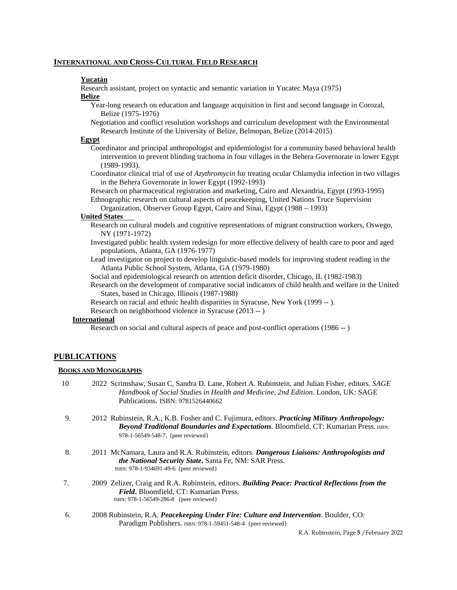#### **INTERNATIONAL AND CROSS-CULTURAL FIELD RESEARCH**

#### **Yucatán**

Research assistant, project on syntactic and semantic variation in Yucatec Maya (1975) **Belize**

- Year-long research on education and language acquisition in first and second language in Corozal, Belize (1975-1976)
- Negotiation and conflict resolution workshops and curriculum development with the Environmental Research Institute of the University of Belize, Belmopan, Belize (2014-2015)

#### **Egypt**

- Coordinator and principal anthropologist and epidemiologist for a community based behavioral health intervention to prevent blinding trachoma in four villages in the Behera Governorate in lower Egypt (1989-1993).
- Coordinator clinical trial of use of *Azythromycin* for treating ocular Chlamydia infection in two villages in the Behera Governorate in lower Egypt (1992-1993)
- Research on pharmaceutical registration and marketing, Cairo and Alexandria, Egypt (1993-1995) Ethnographic research on cultural aspects of peacekeeping, United Nations Truce Supervision
	- Organization, Observer Group Egypt, Cairo and Sinai, Egypt (1988 1993)

## **United States**

- Research on cultural models and cognitive representations of migrant construction workers, Oswego, NY (1971-1972)
- Investigated public health system redesign for more effective delivery of health care to poor and aged populations, Atlanta, GA (1976-1977)

Lead investigator on project to develop linguistic-based models for improving student reading in the Atlanta Public School System, Atlanta, GA (1979-1980)

Social and epidemiological research on attention deficit disorder, Chicago, IL (1982-1983)

- Research on the development of comparative social indicators of child health and welfare in the United States, based in Chicago, Illinois (1987-1988)
- Research on racial and ethnic health disparities in Syracuse, New York (1999 -- ).

Research on neighborhood violence in Syracuse (2013 -- )

# **International**

Research on social and cultural aspects of peace and post-conflict operations (1986 -- )

# **PUBLICATIONS**

#### **BOOKS AND MONOGRAPHS**

- 10 2022 Scrimshaw, Susan C, Sandra D. Lane, Robert A. Rubinstein, and Julian Fisher, editors. *SAGE Handbook of Social Studies in Health and Medicine, 2nd Edition*. London, UK: SAGE Publications. ISBN: 9781526440662
- 9. 2012 Rubinstein, R.A., K.B. Fosher and C. Fujimura, editors. *Practicing Military Anthropology: Beyond Traditional Boundaries and Expectations*. Bloomfield, CT: Kumarian Press. ISBN: 978-1-56549-548-7. {peer reviewed}
- 8. 2011 McNamara, Laura and R.A. Rubinstein, editors. *Dangerous Liaisons: Anthropologists and the National Security State***.** Santa Fe, NM: SAR Press. ISBN: 978-1-934691-49-6 {peer reviewed}
- 7. 2009 Zelizer, Craig and R.A. Rubinstein, editors. *Building Peace: Practical Reflections from the Field*. Bloomfield, CT: Kumarian Press.<br>
ISBN: 978-1-56549-286-8 {peer reviewed}
- 6. 2008 Rubinstein, R.A. *Peacekeeping Under Fire: Culture and Intervention*. Boulder, CO: Paradigm Publishers. ISBN: 978-1-59451-548-4 {peer reviewed}

R.A. Rubinstein, Page **5** /February 2022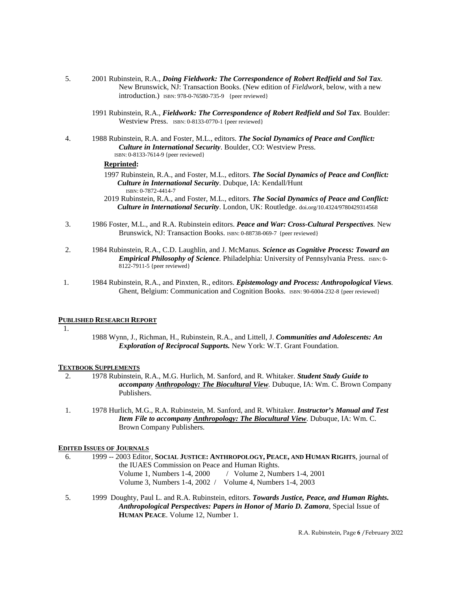- 5. 2001 Rubinstein, R.A., *Doing Fieldwork: The Correspondence of Robert Redfield and Sol Tax.* New Brunswick, NJ: Transaction Books. (New edition of *Fieldwork*, below, with a new introduction.) ISBN: 978-0-76580-735-9 {peer reviewed}
	- 1991 Rubinstein, R.A., *Fieldwork: The Correspondence of Robert Redfield and Sol Tax.* Boulder: Westview Press. ISBN: 0-8133-0770-1 {peer reviewed}
- 4. 1988 Rubinstein, R.A. and Foster, M.L., editors. *The Social Dynamics of Peace and Conflict: Culture in International Security*. Boulder, CO: Westview Press. ISBN: 0-8133-7614-9 {peer reviewed}

#### **Reprinted:**

- 1997 Rubinstein, R.A., and Foster, M.L., editors. *The Social Dynamics of Peace and Conflict: Culture in International Security*. Dubque, IA: Kendall/Hunt ISBN: 0-7872-4414-7
- 2019 Rubinstein, R.A., and Foster, M.L., editors. *The Social Dynamics of Peace and Conflict: Culture in International Security*. London, UK: Routledge. doi.org/10.4324/9780429314568
- 3. 1986 Foster, M.L., and R.A. Rubinstein editors. *Peace and War: Cross-Cultural Perspectives.* New Brunswick, NJ: Transaction Books. ISBN: 0-88738-069-7 {peer reviewed}
- 2. 1984 Rubinstein, R.A., C.D. Laughlin, and J. McManus. *Science as Cognitive Process: Toward an Empirical Philosophy of Science*. Philadelphia: University of Pennsylvania Press. ISBN: 0-8122-7911-5 {peer reviewed}
- 1. 1984 Rubinstein, R.A., and Pinxten, R., editors. *Epistemology and Process: Anthropological Views.*  Ghent, Belgium: Communication and Cognition Books. ISBN: 90-6004-232-8 {peer reviewed}

# **PUBLISHED RESEARCH REPORT**

1.

1988 Wynn, J., Richman, H., Rubinstein, R.A., and Littell, J. *Communities and Adolescents: An Exploration of Reciprocal Supports.* New York: W.T. Grant Foundation.

#### **TEXTBOOK SUPPLEMENTS**

- 2. 1978 Rubinstein, R.A., M.G. Hurlich, M. Sanford, and R. Whitaker. *Student Study Guide to accompany Anthropology: The Biocultural View.* Dubuque, IA: Wm. C. Brown Company Publishers.
- 1. 1978 Hurlich, M.G., R.A. Rubinstein, M. Sanford, and R. Whitaker. *Instructor's Manual and Test Item File to accompany Anthropology: The Biocultural View*. Dubuque, IA: Wm. C. Brown Company Publishers.

#### **EDITED ISSUES OF JOURNALS**

- 6. 1999 -- 2003 Editor, **SOCIAL JUSTICE: ANTHROPOLOGY, PEACE, AND HUMAN RIGHTS**, journal of the IUAES Commission on Peace and Human Rights. Volume 1, Numbers 1-4, 2000 / Volume 2, Numbers 1-4, 2001 Volume 3, Numbers 1-4, 2002 / Volume 4, Numbers 1-4, 2003
- 5. 1999 Doughty, Paul L. and R.A. Rubinstein, editors. *Towards Justice, Peace, and Human Rights. Anthropological Perspectives: Papers in Honor of Mario D. Zamora*, Special Issue of **HUMAN PEACE**. Volume 12, Number 1.

R.A. Rubinstein, Page **6** /February 2022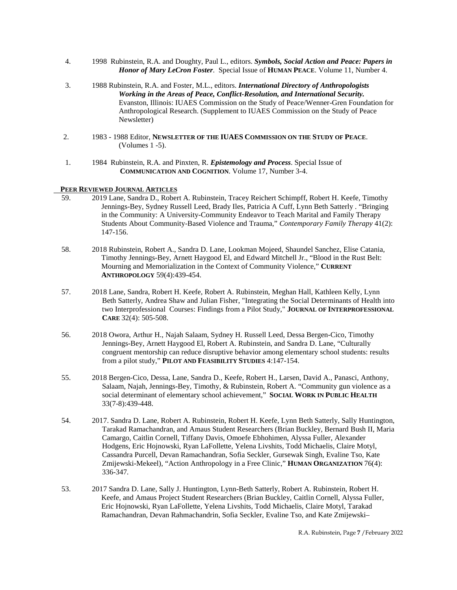- 4. 1998 Rubinstein, R.A. and Doughty, Paul L., editors. *Symbols, Social Action and Peace: Papers in Honor of Mary LeCron Foster*. Special Issue of **HUMAN PEACE**. Volume 11, Number 4.
- 3. 1988 Rubinstein, R.A. and Foster, M.L., editors. *International Directory of Anthropologists Working in the Areas of Peace, Conflict-Resolution, and International Security.* Evanston, Illinois: IUAES Commission on the Study of Peace/Wenner-Gren Foundation for Anthropological Research. (Supplement to IUAES Commission on the Study of Peace Newsletter)
- 2. 1983 1988 Editor, **NEWSLETTER OF THE IUAES COMMISSION ON THE STUDY OF PEACE**. (Volumes 1 -5).
- 1. 1984 Rubinstein, R.A. and Pinxten, R. *Epistemology and Process*. Special Issue of **COMMUNICATION AND COGNITION**. Volume 17, Number 3-4.

#### **PEER REVIEWED JOURNAL ARTICLES**

- 59. 2019 Lane, Sandra D., Robert A. Rubinstein, Tracey Reichert Schimpff, Robert H. Keefe, Timothy Jennings-Bey, Sydney Russell Leed, Brady Iles, Patricia A Cuff, Lynn Beth Satterly . "Bringing in the Community: A University-Community Endeavor to Teach Marital and Family Therapy Students About Community-Based Violence and Trauma," *Contemporary Family Therapy* 41(2): 147-156.
- 58. 2018 Rubinstein, Robert A., Sandra D. Lane, Lookman Mojeed, Shaundel Sanchez, Elise Catania, Timothy Jennings-Bey, Arnett Haygood El, and Edward Mitchell Jr., "Blood in the Rust Belt: Mourning and Memorialization in the Context of Community Violence," **CURRENT ANTHROPOLOGY** 59(4):439-454.
- 57. 2018 Lane, Sandra, Robert H. Keefe, Robert A. Rubinstein, Meghan Hall, Kathleen Kelly, Lynn Beth Satterly, Andrea Shaw and Julian Fisher, "Integrating the Social Determinants of Health into two Interprofessional Courses: Findings from a Pilot Study," **JOURNAL OF INTERPROFESSIONAL CARE** 32(4): 505-508.
- 56. 2018 Owora, Arthur H., Najah Salaam, Sydney H. Russell Leed, Dessa Bergen-Cico, Timothy Jennings-Bey, Arnett Haygood El, Robert A. Rubinstein, and Sandra D. Lane, "Culturally congruent mentorship can reduce disruptive behavior among elementary school students: results from a pilot study," **PILOT AND FEASIBILITY STUDIES** 4:147-154.
- 55. 2018 Bergen-Cico, Dessa, Lane, Sandra D., Keefe, Robert H., Larsen, David A., Panasci, Anthony, Salaam, Najah, Jennings-Bey, Timothy, & Rubinstein, Robert A. "Community gun violence as a social determinant of elementary school achievement," **SOCIAL WORK IN PUBLIC HEALTH**  33(7-8):439-448.
- 54. 2017. Sandra D. Lane, Robert A. Rubinstein, Robert H. Keefe, Lynn Beth Satterly, Sally Huntington, Tarakad Ramachandran, and Amaus Student Researchers (Brian Buckley, Bernard Bush II, Maria Camargo, Caitlin Cornell, Tiffany Davis, Omoefe Ebhohimen, Alyssa Fuller, Alexander Hodgens, Eric Hojnowski, Ryan LaFollette, Yelena Livshits, Todd Michaelis, Claire Motyl, Cassandra Purcell, Devan Ramachandran, Sofia Seckler, Gursewak Singh, Evaline Tso, Kate Zmijewski-Mekeel), "Action Anthropology in a Free Clinic," **HUMAN ORGANIZATION** 76(4): 336-347*.*
- 53. 2017 Sandra D. Lane, Sally J. Huntington, Lynn-Beth Satterly, Robert A. Rubinstein, Robert H. Keefe, and Amaus Project Student Researchers (Brian Buckley, Caitlin Cornell, Alyssa Fuller, Eric Hojnowski, Ryan LaFollette, Yelena Livshits, Todd Michaelis, Claire Motyl, Tarakad Ramachandran, Devan Rahmachandrin, Sofia Seckler, Evaline Tso, and Kate Zmijewski–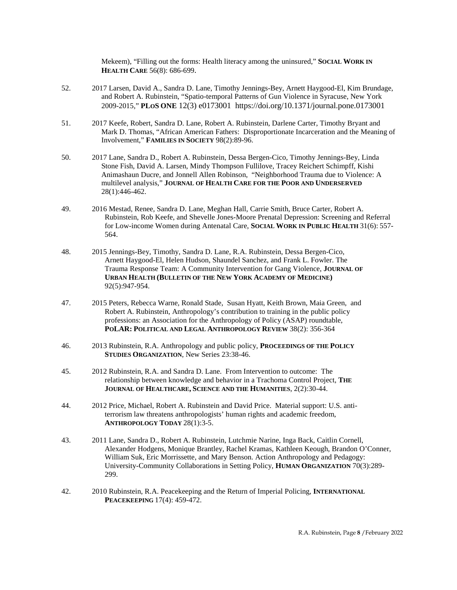Mekeem), "Filling out the forms: Health literacy among the uninsured," **SOCIAL WORK IN HEALTH CARE** 56(8): 686-699.

- 52. 2017 Larsen, David A., Sandra D. Lane, Timothy Jennings-Bey, Arnett Haygood-El, Kim Brundage, and Robert A. Rubinstein, "Spatio-temporal Patterns of Gun Violence in Syracuse, New York 2009-2015," **PLOS ONE** 12(3) e0173001 https://doi.org/10.1371/journal.pone.0173001
- 51. 2017 Keefe, Robert, Sandra D. Lane, Robert A. Rubinstein, Darlene Carter, Timothy Bryant and Mark D. Thomas, "African American Fathers: Disproportionate Incarceration and the Meaning of Involvement," **FAMILIES IN SOCIETY** 98(2):89-96.
- 50. 2017 Lane, Sandra D., Robert A. Rubinstein, Dessa Bergen-Cico, Timothy Jennings-Bey, Linda Stone Fish, David A. Larsen, Mindy Thompson Fullilove, Tracey Reichert Schimpff, Kishi Animashaun Ducre, and Jonnell Allen Robinson, "Neighborhood Trauma due to Violence: A multilevel analysis," **JOURNAL OF HEALTH CARE FOR THE POOR AND UNDERSERVED** 28(1):446-462.
- 49. 2016 Mestad, Renee, Sandra D. Lane, Meghan Hall, Carrie Smith, Bruce Carter, Robert A. Rubinstein, Rob Keefe, and Shevelle Jones-Moore Prenatal Depression: Screening and Referral for Low-income Women during Antenatal Care, **SOCIAL WORK IN PUBLIC HEALTH** 31(6): 557- 564.
- 48. 2015 Jennings-Bey, Timothy, Sandra D. Lane, R.A. Rubinstein, Dessa Bergen-Cico, Arnett Haygood-El, Helen Hudson, Shaundel Sanchez, and Frank L. Fowler. The Trauma Response Team: A Community Intervention for Gang Violence, **JOURNAL OF URBAN HEALTH (BULLETIN OF THE NEW YORK ACADEMY OF MEDICINE)** 92(5):947-954.
- 47. 2015 Peters, Rebecca Warne, Ronald Stade, Susan Hyatt, Keith Brown, Maia Green, and Robert A. Rubinstein, Anthropology's contribution to training in the public policy professions: an Association for the Anthropology of Policy (ASAP) roundtable, **POLAR: POLITICAL AND LEGAL ANTHROPOLOGY REVIEW** 38(2): 356-364
- 46. 2013 Rubinstein, R.A. Anthropology and public policy, **PROCEEDINGS OF THE POLICY STUDIES ORGANIZATION**, New Series 23:38-46.
- 45. 2012 Rubinstein, R.A. and Sandra D. Lane. From Intervention to outcome: The relationship between knowledge and behavior in a Trachoma Control Project, **THE JOURNAL OF HEALTHCARE, SCIENCE AND THE HUMANITIES**, 2(2):30-44.
- 44. 2012 Price, Michael, Robert A. Rubinstein and David Price. Material support: U.S. antiterrorism law threatens anthropologists' human rights and academic freedom, **ANTHROPOLOGY TODAY** 28(1):3-5.
- 43. 2011 Lane, Sandra D., Robert A. Rubinstein, Lutchmie Narine, Inga Back, Caitlin Cornell, Alexander Hodgens, Monique Brantley, Rachel Kramas, Kathleen Keough, Brandon O'Conner, William Suk, Eric Morrissette, and Mary Benson. Action Anthropology and Pedagogy: University-Community Collaborations in Setting Policy, **HUMAN ORGANIZATION** 70(3):289- 299.
- 42. 2010 Rubinstein, R.A. Peacekeeping and the Return of Imperial Policing, **INTERNATIONAL PEACEKEEPING** 17(4): 459-472.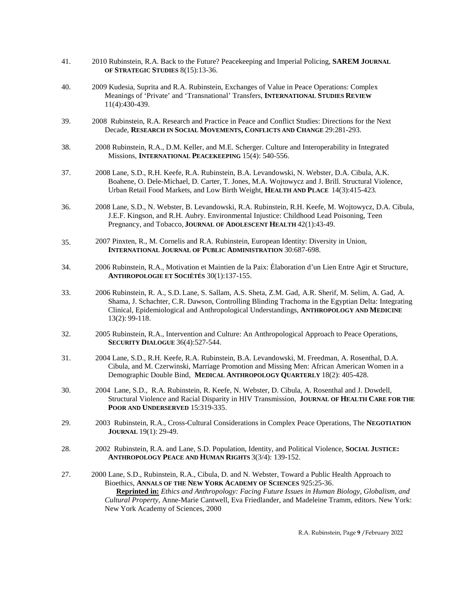- 41. 2010 Rubinstein, R.A. Back to the Future? Peacekeeping and Imperial Policing, **SAREM JOURNAL OF STRATEGIC STUDIES** 8(15):13-36.
- 40. 2009 Kudesia, Suprita and R.A. Rubinstein, Exchanges of Value in Peace Operations: Complex Meanings of 'Private' and 'Transnational' Transfers, **INTERNATIONAL STUDIES REVIEW** 11(4):430-439.
- 39. 2008 Rubinstein, R.A. Research and Practice in Peace and Conflict Studies: Directions for the Next Decade, **RESEARCH IN SOCIAL MOVEMENTS, CONFLICTS AND CHANGE** 29:281-293.
- 38. 2008 Rubinstein, R.A., D.M. Keller, and M.E. Scherger. Culture and Interoperability in Integrated Missions, **INTERNATIONAL PEACEKEEPING** 15(4): 540-556.
- 37. 2008 Lane, S.D., R.H. Keefe, R.A. Rubinstein, B.A. Levandowski, N. Webster, D.A. Cibula, A.K. Boahene, O. Dele-Michael, D. Carter, T. Jones, M.A. Wojtowycz and J. Brill. Structural Violence, Urban Retail Food Markets, and Low Birth Weight, **HEALTH AND PLACE** 14(3):415-423.
- 36. 2008 Lane, S.D., N. Webster, B. Levandowski, R.A. Rubinstein, R.H. Keefe, M. Wojtowycz, D.A. Cibula, J.E.F. Kingson, and R.H. Aubry. Environmental Injustice: Childhood Lead Poisoning, Teen Pregnancy, and Tobacco, **JOURNAL OF ADOLESCENT HEALTH** 42(1):43-49.
- 35. 2007 Pinxten, R., M. Cornelis and R.A. Rubinstein, European Identity: Diversity in Union, **INTERNATIONAL JOURNAL OF PUBLIC ADMINISTRATION** 30:687-698.
- 34. 2006 Rubinstein, R.A., Motivation et Maintien de la Paix: Élaboration d'un Lien Entre Agir et Structure, **ANTHROPOLOGIE ET SOCIÉTÉS** 30(1):137-155.
- 33. 2006 Rubinstein, R. A., S.D. Lane, S. Sallam, A.S. Sheta, Z.M. Gad, A.R. Sherif, M. Selim, A. Gad, A. Shama, J. Schachter, C.R. Dawson, Controlling Blinding Trachoma in the Egyptian Delta: Integrating Clinical, Epidemiological and Anthropological Understandings, **ANTHROPOLOGY AND MEDICINE**  13(2): 99-118.
- 32. 2005 Rubinstein, R.A., Intervention and Culture: An Anthropological Approach to Peace Operations, **SECURITY DIALOGUE** 36(4):527-544.
- 31. 2004 Lane, S.D., R.H. Keefe, R.A. Rubinstein, B.A. Levandowski, M. Freedman, A. Rosenthal, D.A. Cibula, and M. Czerwinski, Marriage Promotion and Missing Men: African American Women in a Demographic Double Bind, **MEDICAL ANTHROPOLOGY QUARTERLY** 18(2): 405-428.
- 30. 2004 Lane, S.D., R.A. Rubinstein, R. Keefe, N. Webster, D. Cibula, A. Rosenthal and J. Dowdell, Structural Violence and Racial Disparity in HIV Transmission, **JOURNAL OF HEALTH CARE FOR THE**  POOR AND UNDERSERVED 15:319-335.
- 29. 2003 Rubinstein, R.A., Cross-Cultural Considerations in Complex Peace Operations, The **NEGOTIATION JOURNAL** 19(1): 29-49.
- 28. 2002 Rubinstein, R.A. and Lane, S.D. Population, Identity, and Political Violence, **SOCIAL JUSTICE: ANTHROPOLOGY PEACE AND HUMAN RIGHTS** 3(3/4): 139-152.
- 27. 2000 Lane, S.D., Rubinstein, R.A., Cibula, D. and N. Webster, Toward a Public Health Approach to Bioethics, **ANNALS OF THE NEW YORK ACADEMY OF SCIENCES** 925:25-36.  **Reprinted in:** *Ethics and Anthropology: Facing Future Issues in Human Biology, Globalism, and Cultural Property*, Anne-Marie Cantwell, Eva Friedlander, and Madeleine Tramm, editors. New York: New York Academy of Sciences, 2000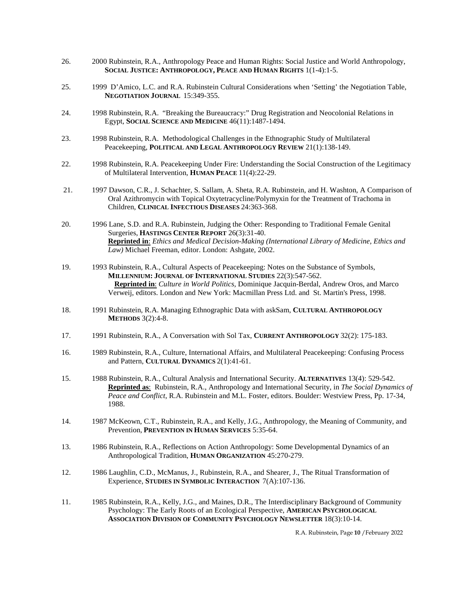- 26. 2000 Rubinstein, R.A., Anthropology Peace and Human Rights: Social Justice and World Anthropology, **SOCIAL JUSTICE: ANTHROPOLOGY, PEACE AND HUMAN RIGHTS** 1(1-4):1-5.
- 25. 1999 D'Amico, L.C. and R.A. Rubinstein Cultural Considerations when 'Setting' the Negotiation Table, **NEGOTIATION JOURNAL** 15:349-355.
- 24. 1998 Rubinstein, R.A. "Breaking the Bureaucracy:" Drug Registration and Neocolonial Relations in Egypt, **SOCIAL SCIENCE AND MEDICINE** 46(11):1487-1494.
- 23. 1998 Rubinstein, R.A. Methodological Challenges in the Ethnographic Study of Multilateral Peacekeeping, **POLITICAL AND LEGAL ANTHROPOLOGY REVIEW** 21(1):138-149.
- 22. 1998 Rubinstein, R.A. Peacekeeping Under Fire: Understanding the Social Construction of the Legitimacy of Multilateral Intervention, **HUMAN PEACE** 11(4):22-29.
- 21. 1997 Dawson, C.R., J. Schachter, S. Sallam, A. Sheta, R.A. Rubinstein, and H. Washton, A Comparison of Oral Azithromycin with Topical Oxytetracycline/Polymyxin for the Treatment of Trachoma in Children, **CLINICAL INFECTIOUS DISEASES** 24:363-368.
- 20. 1996 Lane, S.D. and R.A. Rubinstein, Judging the Other: Responding to Traditional Female Genital Surgeries, **HASTINGS CENTER REPORT** 26(3):31-40. **Reprinted in**: *Ethics and Medical Decision-Making (International Library of Medicine, Ethics and Law)* Michael Freeman, editor. London: Ashgate, 2002.
- 19. 1993 Rubinstein, R.A., Cultural Aspects of Peacekeeping: Notes on the Substance of Symbols, **MILLENNIUM: JOURNAL OF INTERNATIONAL STUDIES** 22(3):547-562.  **Reprinted in**: *Culture in World Politics,* Dominique Jacquin-Berdal, Andrew Oros, and Marco Verweij, editors. London and New York: Macmillan Press Ltd. and St. Martin's Press, 1998.
- 18. 1991 Rubinstein, R.A. Managing Ethnographic Data with askSam, **CULTURAL ANTHROPOLOGY METHODS** 3(2):4-8.
- 17. 1991 Rubinstein, R.A., A Conversation with Sol Tax, **CURRENT ANTHROPOLOGY** 32(2): 175-183.
- 16. 1989 Rubinstein, R.A., Culture, International Affairs, and Multilateral Peacekeeping: Confusing Process and Pattern, **CULTURAL DYNAMICS** 2(1):41-61.
- 15. 1988 Rubinstein, R.A., Cultural Analysis and International Security. **ALTERNATIVES** 13(4): 529-542. **Reprinted as**: Rubinstein, R.A., Anthropology and International Security, in *The Social Dynamics of Peace and Conflict*, R.A. Rubinstein and M.L. Foster, editors. Boulder: Westview Press, Pp. 17-34, 1988.
- 14. 1987 McKeown, C.T., Rubinstein, R.A., and Kelly, J.G., Anthropology, the Meaning of Community, and Prevention, **PREVENTION IN HUMAN SERVICES** 5:35-64.
- 13. 1986 Rubinstein, R.A., Reflections on Action Anthropology: Some Developmental Dynamics of an Anthropological Tradition, **HUMAN ORGANIZATION** 45:270-279.
- 12. 1986 Laughlin, C.D., McManus, J., Rubinstein, R.A., and Shearer, J., The Ritual Transformation of Experience, **STUDIES IN SYMBOLIC INTERACTION** 7(A):107-136.
- 11. 1985 Rubinstein, R.A., Kelly, J.G., and Maines, D.R., The Interdisciplinary Background of Community Psychology: The Early Roots of an Ecological Perspective, **AMERICAN PSYCHOLOGICAL ASSOCIATION DIVISION OF COMMUNITY PSYCHOLOGY NEWSLETTER** 18(3):10-14.

R.A. Rubinstein, Page **10** /February 2022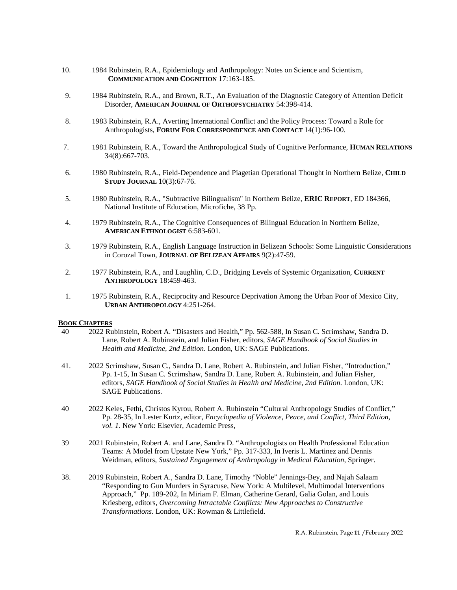- 10. 1984 Rubinstein, R.A., Epidemiology and Anthropology: Notes on Science and Scientism, **COMMUNICATION AND COGNITION** 17:163-185.
- 9. 1984 Rubinstein, R.A., and Brown, R.T., An Evaluation of the Diagnostic Category of Attention Deficit Disorder, **AMERICAN JOURNAL OF ORTHOPSYCHIATRY** 54:398-414.
- 8. 1983 Rubinstein, R.A., Averting International Conflict and the Policy Process: Toward a Role for Anthropologists, **FORUM FOR CORRESPONDENCE AND CONTACT** 14(1):96-100.
- 7. 1981 Rubinstein, R.A., Toward the Anthropological Study of Cognitive Performance, **HUMAN RELATIONS** 34(8):667-703.
- 6. 1980 Rubinstein, R.A., Field-Dependence and Piagetian Operational Thought in Northern Belize, **CHILD STUDY JOURNAL** 10(3):67-76.
- 5. 1980 Rubinstein, R.A., "Subtractive Bilingualism" in Northern Belize, **ERIC REPORT**, ED 184366, National Institute of Education, Microfiche, 38 Pp.
- 4. 1979 Rubinstein, R.A., The Cognitive Consequences of Bilingual Education in Northern Belize, **AMERICAN ETHNOLOGIST** 6:583-601.
- 3. 1979 Rubinstein, R.A., English Language Instruction in Belizean Schools: Some Linguistic Considerations in Corozal Town, **JOURNAL OF BELIZEAN AFFAIRS** 9(2):47-59.
- 2. 1977 Rubinstein, R.A., and Laughlin, C.D., Bridging Levels of Systemic Organization, **CURRENT ANTHROPOLOGY** 18:459-463.
- 1. 1975 Rubinstein, R.A., Reciprocity and Resource Deprivation Among the Urban Poor of Mexico City, **URBAN ANTHROPOLOGY** 4:251-264.

#### **BOOK CHAPTERS**

- 40 2022 Rubinstein, Robert A. "Disasters and Health," Pp. 562-588, In Susan C. Scrimshaw, Sandra D. Lane, Robert A. Rubinstein, and Julian Fisher, editors, *SAGE Handbook of Social Studies in Health and Medicine, 2nd Edition*. London, UK: SAGE Publications.
- 41. 2022 Scrimshaw, Susan C., Sandra D. Lane, Robert A. Rubinstein, and Julian Fisher, "Introduction," Pp. 1-15, In Susan C. Scrimshaw, Sandra D. Lane, Robert A. Rubinstein, and Julian Fisher, editors, *SAGE Handbook of Social Studies in Health and Medicine, 2nd Edition*. London, UK: SAGE Publications.
- 40 2022 Keles, Fethi, Christos Kyrou, Robert A. Rubinstein "Cultural Anthropology Studies of Conflict," Pp. 28-35, In Lester Kurtz, editor, *Encyclopedia of Violence, Peace, and Conflict, Third Edition, vol. 1*. New York: Elsevier, Academic Press,
- 39 2021 Rubinstein, Robert A. and Lane, Sandra D. "Anthropologists on Health Professional Education Teams: A Model from Upstate New York," Pp. 317-333, In Iveris L. Martinez and Dennis Weidman, editors, *Sustained Engagement of Anthropology in Medical Education*, Springer.
- 38. 2019 Rubinstein, Robert A., Sandra D. Lane, Timothy "Noble" Jennings-Bey, and Najah Salaam "Responding to Gun Murders in Syracuse, New York: A Multilevel, Multimodal Interventions Approach," Pp. 189-202, In Miriam F. Elman, Catherine Gerard, Galia Golan, and Louis Kriesberg, editors, *Overcoming Intractable Conflicts: New Approaches to Constructive Transformations*. London, UK: Rowman & Littlefield.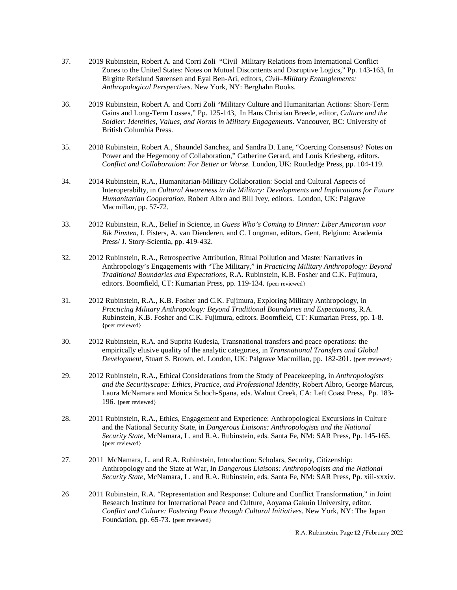- 37. 2019 Rubinstein, Robert A. and Corri Zoli "Civil–Military Relations from International Conflict Zones to the United States: Notes on Mutual Discontents and Disruptive Logics," Pp. 143-163, In Birgitte Refslund Sørensen and Eyal Ben-Ari, editors, *Civil–Military Entanglements: Anthropological Perspectives*. New York, NY: Berghahn Books.
- 36. 2019 Rubinstein, Robert A. and Corri Zoli "Military Culture and Humanitarian Actions: Short-Term Gains and Long-Term Losses," Pp. 125-143, In Hans Christian Breede, editor, *Culture and the Soldier: Identities, Values, and Norms in Military Engagements*. Vancouver, BC: University of British Columbia Press.
- 35. 2018 Rubinstein, Robert A., Shaundel Sanchez, and Sandra D. Lane, "Coercing Consensus? Notes on Power and the Hegemony of Collaboration," Catherine Gerard, and Louis Kriesberg, editors*. Conflict and Collaboration: For Better or Worse.* London, UK: Routledge Press, pp. 104-119.
- 34. 2014 Rubinstein, R.A., Humanitarian-Military Collaboration: Social and Cultural Aspects of Interoperabilty, in *Cultural Awareness in the Military: Developments and Implications for Future Humanitarian Cooperation*, Robert Albro and Bill Ivey, editors. London, UK: Palgrave Macmillan, pp. 57-72.
- 33. 2012 Rubinstein, R.A., Belief in Science, in *Guess Who's Coming to Dinner: Liber Amicorum voor Rik Pinxten*, I. Pisters, A. van Dienderen, and C. Longman, editors. Gent, Belgium: Academia Press/ J. Story-Scientia, pp. 419-432.
- 32. 2012 Rubinstein, R.A., Retrospective Attribution, Ritual Pollution and Master Narratives in Anthropology's Engagements with "The Military," in *Practicing Military Anthropology: Beyond Traditional Boundaries and Expectations*, R.A. Rubinstein, K.B. Fosher and C.K. Fujimura, editors. Boomfield, CT: Kumarian Press, pp. 119-134. {peer reviewed}
- 31. 2012 Rubinstein, R.A., K.B. Fosher and C.K. Fujimura, Exploring Military Anthropology, in *Practicing Military Anthropology: Beyond Traditional Boundaries and Expectations*, R.A. Rubinstein, K.B. Fosher and C.K. Fujimura, editors. Boomfield, CT: Kumarian Press, pp. 1-8. {peer reviewed}
- 30. 2012 Rubinstein, R.A. and Suprita Kudesia, Transnational transfers and peace operations: the empirically elusive quality of the analytic categories, in *Transnational Transfers and Global Development*, Stuart S. Brown, ed. London, UK: Palgrave Macmillan, pp. 182-201. {peer reviewed}
- 29. 2012 Rubinstein, R.A., Ethical Considerations from the Study of Peacekeeping, in *Anthropologists and the Securityscape: Ethics, Practice, and Professional Identity*, Robert Albro, George Marcus, Laura McNamara and Monica Schoch-Spana, eds. Walnut Creek, CA: Left Coast Press, Pp. 183- 196. {peer reviewed}
- 28. 2011 Rubinstein, R.A., Ethics, Engagement and Experience: Anthropological Excursions in Culture and the National Security State, in *Dangerous Liaisons: Anthropologists and the National Security State,* McNamara, L. and R.A. Rubinstein, eds. Santa Fe, NM: SAR Press, Pp. 145-165. {peer reviewed}
- 27. 2011 McNamara, L. and R.A. Rubinstein, Introduction: Scholars, Security, Citizenship: Anthropology and the State at War, In *Dangerous Liaisons: Anthropologists and the National Security State,* McNamara, L. and R.A. Rubinstein, eds. Santa Fe, NM: SAR Press, Pp. xiii-xxxiv.
- 26 2011 Rubinstein, R.A. "Representation and Response: Culture and Conflict Transformation," in Joint Research Institute for International Peace and Culture, Aoyama Gakuin University, editor. *Conflict and Culture: Fostering Peace through Cultural Initiatives*. New York, NY: The Japan Foundation, pp. 65-73. {peer reviewed}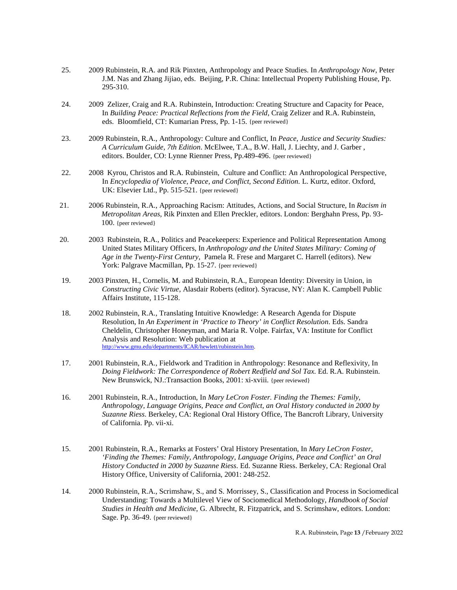- 25. 2009 Rubinstein, R.A. and Rik Pinxten, Anthropology and Peace Studies. In *Anthropology Now*, Peter J.M. Nas and Zhang Jijiao, eds. Beijing, P.R. China: Intellectual Property Publishing House, Pp. 295-310.
- 24. 2009 Zelizer, Craig and R.A. Rubinstein, Introduction: Creating Structure and Capacity for Peace, In *Building Peace: Practical Reflections from the Field*, Craig Zelizer and R.A. Rubinstein, eds. Bloomfield, CT: Kumarian Press, Pp. 1-15. {peer reviewed}
- 23. 2009 Rubinstein, R.A., Anthropology: Culture and Conflict, In *Peace, Justice and Security Studies: A Curriculum Guide, 7th Edition*. McElwee, T.A., B.W. Hall, J. Liechty, and J. Garber , editors. Boulder, CO: Lynne Rienner Press, Pp.489-496. {peer reviewed}
- 22. 2008 Kyrou, Christos and R.A. Rubinstein, Culture and Conflict: An Anthropological Perspective, In *Encyclopedia of Violence, Peace, and Conflict, Second Edition.* L. Kurtz, editor. Oxford, UK: Elsevier Ltd., Pp. 515-521. {peer reviewed}
- 21. 2006 Rubinstein, R.A., Approaching Racism: Attitudes, Actions, and Social Structure, In *Racism in Metropolitan Areas*, Rik Pinxten and Ellen Preckler, editors. London: Berghahn Press, Pp. 93- 100. {peer reviewed}
- 20. 2003 Rubinstein, R.A., Politics and Peacekeepers: Experience and Political Representation Among United States Military Officers, In *Anthropology and the United States Military: Coming of Age in the Twenty-First Century,* Pamela R. Frese and Margaret C. Harrell (editors). New York: Palgrave Macmillan, Pp. 15-27. {peer reviewed}
- 19. 2003 Pinxten, H., Cornelis, M. and Rubinstein, R.A., European Identity: Diversity in Union, in *Constructing Civic Virtue*, Alasdair Roberts (editor). Syracuse, NY: Alan K. Campbell Public Affairs Institute, 115-128.
- 18. 2002 Rubinstein, R.A., Translating Intuitive Knowledge: A Research Agenda for Dispute Resolution, In *An Experiment in 'Practice to Theory' in Conflict Resolution*. Eds. Sandra Cheldelin, Christopher Honeyman, and Maria R. Volpe. Fairfax, VA: Institute for Conflict Analysis and Resolution: Web publication at [http://www.gmu.edu/departments/ICAR/hewlett/rubinstein.htm.](http://www.gmu.edu/departments/ICAR/hewlett/rubinstein.htm)
- 17. 2001 Rubinstein, R.A., Fieldwork and Tradition in Anthropology: Resonance and Reflexivity, In *Doing Fieldwork: The Correspondence of Robert Redfield and Sol Tax*. Ed. R.A. Rubinstein. New Brunswick, NJ.:Transaction Books, 2001: xi-xviii. {peer reviewed}
- 16. 2001 Rubinstein, R.A., Introduction, In *Mary LeCron Foster. Finding the Themes: Family, Anthropology, Language Origins, Peace and Conflict, an Oral History conducted in 2000 by Suzanne Riess*. Berkeley, CA: Regional Oral History Office, The Bancroft Library, University of California. Pp. vii-xi.
- 15. 2001 Rubinstein, R.A., Remarks at Fosters' Oral History Presentation, In *Mary LeCron Foster, 'Finding the Themes: Family, Anthropology, Language Origins, Peace and Conflict' an Oral History Conducted in 2000 by Suzanne Riess*. Ed. Suzanne Riess. Berkeley, CA: Regional Oral History Office, University of California, 2001: 248-252.
- 14. 2000 Rubinstein, R.A., Scrimshaw, S., and S. Morrissey, S., Classification and Process in Sociomedical Understanding: Towards a Multilevel View of Sociomedical Methodology, *Handbook of Social Studies in Health and Medicine,* G. Albrecht, R. Fitzpatrick, and S. Scrimshaw, editors. London: Sage. Pp. 36-49. {peer reviewed}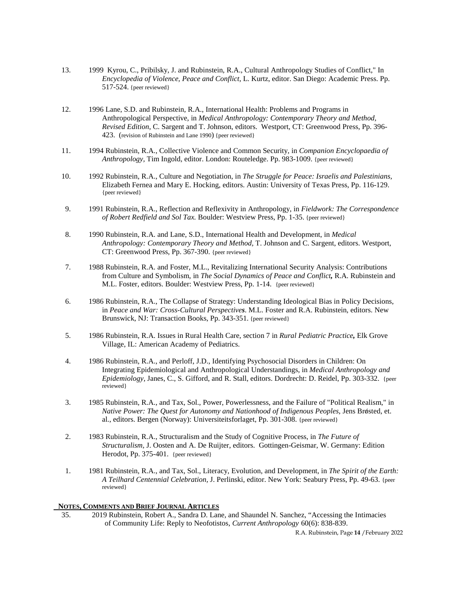- 13. 1999 Kyrou, C., Pribilsky, J. and Rubinstein, R.A., Cultural Anthropology Studies of Conflict," In *Encyclopedia of Violence, Peace and Conflict*, L. Kurtz, editor. San Diego: Academic Press. Pp. 517-524. {peer reviewed}
- 12. 1996 Lane, S.D. and Rubinstein, R.A., International Health: Problems and Programs in Anthropological Perspective, in *Medical Anthropology: Contemporary Theory and Method, Revised Edition*, C. Sargent and T. Johnson, editors. Westport, CT: Greenwood Press, Pp. 396- 423. (revision of Rubinstein and Lane 1990) {peer reviewed}
- 11. 1994 Rubinstein, R.A., Collective Violence and Common Security, in *Companion Encyclopaedia of Anthropology,* Tim Ingold, editor. London: Routeledge. Pp. 983-1009. {peer reviewed}
- 10. 1992 Rubinstein, R.A., Culture and Negotiation, in *The Struggle for Peace: Israelis and Palestinians,* Elizabeth Fernea and Mary E. Hocking, editors. Austin: University of Texas Press, Pp. 116-129. {peer reviewed}
- 9. 1991 Rubinstein, R.A., Reflection and Reflexivity in Anthropology, in *Fieldwork: The Correspondence of Robert Redfield and Sol Tax.* Boulder: Westview Press, Pp. 1-35. {peer reviewed}
- 8. 1990 Rubinstein, R.A. and Lane, S.D., International Health and Development, in *Medical Anthropology: Contemporary Theory and Method,* T. Johnson and C. Sargent, editors. Westport, CT: Greenwood Press, Pp. 367-390. {peer reviewed}
- 7. 1988 Rubinstein, R.A. and Foster, M.L., Revitalizing International Security Analysis: Contributions from Culture and Symbolism, in *The Social Dynamics of Peace and Conflict,* R.A. Rubinstein and M.L. Foster, editors. Boulder: Westview Press, Pp. 1-14. {peer reviewed}
- 6. 1986 Rubinstein, R.A., The Collapse of Strategy: Understanding Ideological Bias in Policy Decisions, in *Peace and War: Cross-Cultural Perspectives*. M.L. Foster and R.A. Rubinstein, editors. New Brunswick, NJ: Transaction Books, Pp. 343-351. {peer reviewed}
- 5. 1986 Rubinstein, R.A. Issues in Rural Health Care, section 7 in *Rural Pediatric Practice,* Elk Grove Village, IL: American Academy of Pediatrics.
- 4. 1986 Rubinstein, R.A., and Perloff, J.D., Identifying Psychosocial Disorders in Children: On Integrating Epidemiological and Anthropological Understandings, in *Medical Anthropology and Epidemiology,* Janes, C., S. Gifford, and R. Stall, editors. Dordrecht: D. Reidel, Pp. 303-332. {peer reviewed}
- 3. 1985 Rubinstein, R.A., and Tax, Sol., Power, Powerlessness, and the Failure of "Political Realism," in *Native Power: The Quest for Autonomy and Nationhood of Indigenous Peoples, Jens Brosted, et.* al., editors. Bergen (Norway): Universiteitsforlaget, Pp. 301-308. {peer reviewed}
- 2. 1983 Rubinstein, R.A., Structuralism and the Study of Cognitive Process, in *The Future of Structuralism,* J. Oosten and A. De Ruijter, editors. Gottingen-Geismar, W. Germany: Edition Herodot, Pp. 375-401. {peer reviewed}
- 1. 1981 Rubinstein, R.A., and Tax, Sol., Literacy, Evolution, and Development, in *The Spirit of the Earth: A Teilhard Centennial Celebration,* J. Perlinski, editor. New York: Seabury Press, Pp. 49-63. {peer reviewed}

#### **NOTES, COMMENTS AND BRIEF JOURNAL ARTICLES**

 35. 2019 Rubinstein, Robert A., Sandra D. Lane, and Shaundel N. Sanchez, "Accessing the Intimacies of Community Life: Reply to Neofotistos, *Current Anthropology* 60(6): 838-839.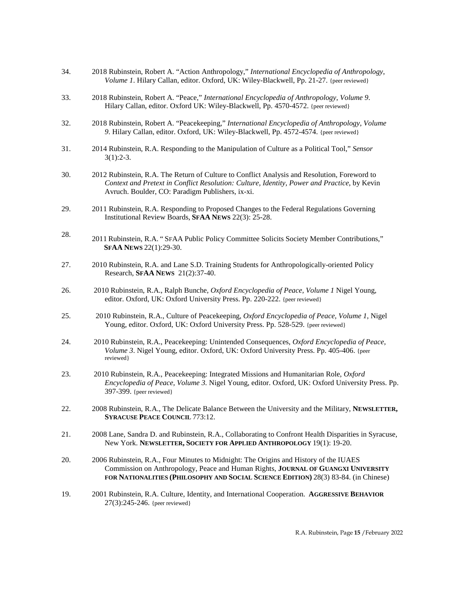- 34. 2018 Rubinstein, Robert A. "Action Anthropology," *International Encyclopedia of Anthropology*, *Volume 1*. Hilary Callan, editor. Oxford, UK: Wiley-Blackwell, Pp. 21-27. {peer reviewed}
- 33. 2018 Rubinstein, Robert A. "Peace," *International Encyclopedia of Anthropology*, *Volume 9*. Hilary Callan, editor. Oxford UK: Wiley-Blackwell, Pp. 4570-4572. {peer reviewed}
- 32. 2018 Rubinstein, Robert A. "Peacekeeping," *International Encyclopedia of Anthropology*, *Volume 9*. Hilary Callan, editor. Oxford, UK: Wiley-Blackwell, Pp. 4572-4574. {peer reviewed}
- 31. 2014 Rubinstein, R.A. Responding to the Manipulation of Culture as a Political Tool," *Sensor* 3(1):2-3.
- 30. 2012 Rubinstein, R.A. The Return of Culture to Conflict Analysis and Resolution, Foreword to *Context and Pretext in Conflict Resolution: Culture, Identity, Power and Practice*, by Kevin Avruch. Boulder, CO: Paradigm Publishers, ix-xi.
- 29. 2011 Rubinstein, R.A. Responding to Proposed Changes to the Federal Regulations Governing Institutional Review Boards, **SFAA NEWS** 22(3): 25-28.
- 28. 2011 Rubinstein, R.A. " SFAA Public Policy Committee Solicits Society Member Contributions," **SFAA NEWS** 22(1):29-30.
- 27. 2010 Rubinstein, R.A. and Lane S.D. Training Students for Anthropologically-oriented Policy Research, **SFAA NEWS** 21(2):37-40.
- 26. 2010 Rubinstein, R.A., Ralph Bunche, *Oxford Encyclopedia of Peace, Volume 1* Nigel Young, editor. Oxford, UK: Oxford University Press. Pp. 220-222. {peer reviewed}
- 25. 2010 Rubinstein, R.A., Culture of Peacekeeping, *Oxford Encyclopedia of Peace, Volume 1*, Nigel Young, editor. Oxford, UK: Oxford University Press. Pp. 528-529. {peer reviewed}
- 24. 2010 Rubinstein, R.A., Peacekeeping: Unintended Consequences, *Oxford Encyclopedia of Peace, Volume 3*. Nigel Young, editor. Oxford, UK: Oxford University Press. Pp. 405-406. {peer reviewed}
- 23. 2010 Rubinstein, R.A., Peacekeeping: Integrated Missions and Humanitarian Role, *Oxford Encyclopedia of Peace, Volume 3.* Nigel Young, editor. Oxford, UK: Oxford University Press. Pp. 397-399. {peer reviewed}
- 22. 2008 Rubinstein, R.A., The Delicate Balance Between the University and the Military, **NEWSLETTER, SYRACUSE PEACE COUNCIL** 773:12.
- 21. 2008 Lane, Sandra D. and Rubinstein, R.A., Collaborating to Confront Health Disparities in Syracuse, New York. **NEWSLETTER, SOCIETY FOR APPLIED ANTHROPOLOGY** 19(1): 19-20.
- 20. 2006 Rubinstein, R.A., Four Minutes to Midnight: The Origins and History of the IUAES Commission on Anthropology, Peace and Human Rights, **JOURNAL OF GUANGXI UNIVERSITY FOR NATIONALITIES (PHILOSOPHY AND SOCIAL SCIENCE EDITION)** 28(3) 83-84. (in Chinese)
- 19. 2001 Rubinstein, R.A. Culture, Identity, and International Cooperation. **AGGRESSIVE BEHAVIOR** 27(3):245-246. {peer reviewed}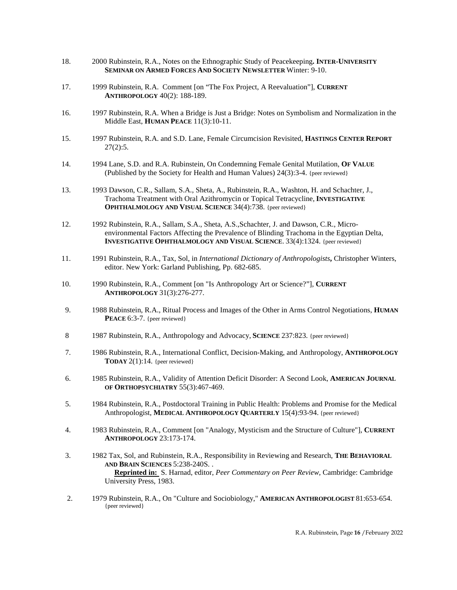- 18. 2000 Rubinstein, R.A., Notes on the Ethnographic Study of Peacekeeping**. INTER-UNIVERSITY SEMINAR ON ARMED FORCES AND SOCIETY NEWSLETTER** Winter: 9-10.
- 17. 1999 Rubinstein, R.A. Comment [on "The Fox Project, A Reevaluation"], **CURRENT ANTHROPOLOGY** 40(2): 188-189.
- 16. 1997 Rubinstein, R.A. When a Bridge is Just a Bridge: Notes on Symbolism and Normalization in the Middle East, **HUMAN PEACE** 11(3):10-11.
- 15. 1997 Rubinstein, R.A. and S.D. Lane, Female Circumcision Revisited, **HASTINGS CENTER REPORT**  $27(2):5.$
- 14. 1994 Lane, S.D. and R.A. Rubinstein, On Condemning Female Genital Mutilation, **OF VALUE** (Published by the Society for Health and Human Values) 24(3):3-4. {peer reviewed}
- 13. 1993 Dawson, C.R., Sallam, S.A., Sheta, A., Rubinstein, R.A., Washton, H. and Schachter, J., Trachoma Treatment with Oral Azithromycin or Topical Tetracycline, **INVESTIGATIVE OPHTHALMOLOGY AND VISUAL SCIENCE** 34(4):738. {peer reviewed}
- 12. 1992 Rubinstein, R.A., Sallam, S.A., Sheta, A.S.,Schachter, J. and Dawson, C.R., Microenvironmental Factors Affecting the Prevalence of Blinding Trachoma in the Egyptian Delta, **INVESTIGATIVE OPHTHALMOLOGY AND VISUAL SCIENCE**. 33(4):1324. {peer reviewed}
- 11. 1991 Rubinstein, R.A., Tax, Sol, in *International Dictionary of Anthropologists***,** Christopher Winters, editor. New York: Garland Publishing, Pp. 682-685.
- 10. 1990 Rubinstein, R.A., Comment [on "Is Anthropology Art or Science?"], **CURRENT ANTHROPOLOGY** 31(3):276-277.
- 9. 1988 Rubinstein, R.A., Ritual Process and Images of the Other in Arms Control Negotiations, **HUMAN PEACE** 6:3-7. {peer reviewed}
- 8 1987 Rubinstein, R.A., Anthropology and Advocacy, **SCIENCE** 237:823. {peer reviewed}
- 7. 1986 Rubinstein, R.A., International Conflict, Decision-Making, and Anthropology, **ANTHROPOLOGY TODAY** 2(1):14. {peer reviewed}
- 6. 1985 Rubinstein, R.A., Validity of Attention Deficit Disorder: A Second Look, **AMERICAN JOURNAL OF ORTHOPSYCHIATRY** 55(3):467-469.
- 5. 1984 Rubinstein, R.A., Postdoctoral Training in Public Health: Problems and Promise for the Medical Anthropologist, **MEDICAL ANTHROPOLOGY QUARTERLY** 15(4):93-94. {peer reviewed}
- 4. 1983 Rubinstein, R.A., Comment [on "Analogy, Mysticism and the Structure of Culture"], **CURRENT ANTHROPOLOGY** 23:173-174.
- 3. 1982 Tax, Sol, and Rubinstein, R.A., Responsibility in Reviewing and Research, **THE BEHAVIORAL AND BRAIN SCIENCES** 5:238-240S. .  **Reprinted in:** S. Harnad, editor, *Peer Commentary on Peer Review,* Cambridge: Cambridge University Press, 1983.
- 2. 1979 Rubinstein, R.A., On "Culture and Sociobiology," **AMERICAN ANTHROPOLOGIST** 81:653-654. {peer reviewed}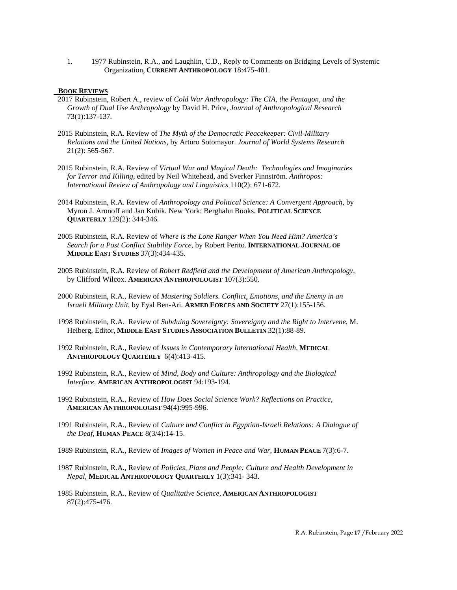1. 1977 Rubinstein, R.A., and Laughlin, C.D., Reply to Comments on Bridging Levels of Systemic Organization, **CURRENT ANTHROPOLOGY** 18:475-481.

# **BOOK REVIEWS**

- 2017 Rubinstein, Robert A., review of *Cold War Anthropology: The CIA, the Pentagon, and the Growth of Dual Use Anthropology* by David H. Price, *Journal of Anthropological Research* 73(1):137-137*.*
- 2015 Rubinstein, R.A. Review of *The Myth of the Democratic Peacekeeper: Civil-Military Relations and the United Nations*, by Arturo Sotomayor. *Journal of World Systems Research*  21(2): 565-567.
- 2015 Rubinstein, R.A. Review of *Virtual War and Magical Death: Technologies and Imaginaries for Terror and Killing*, edited by Neil Whitehead, and Sverker Finnström. *Anthropos: International Review of Anthropology and Linguistics* 110(2): 671-672.
- 2014 Rubinstein, R.A. Review of *Anthropology and Political Science: A Convergent Approach*, by Myron J. Aronoff and Jan Kubik. New York: Berghahn Books. **POLITICAL SCIENCE QUARTERLY** 129(2): 344-346.
- 2005 Rubinstein, R.A. Review of *Where is the Lone Ranger When You Need Him? America's Search for a Post Conflict Stability Force*, by Robert Perito.**INTERNATIONAL JOURNAL OF MIDDLE EAST STUDIES** 37(3):434-435.
- 2005 Rubinstein, R.A. Review of *Robert Redfield and the Development of American Anthropology*, by Clifford Wilcox. **AMERICAN ANTHROPOLOGIST** 107(3):550.
- 2000 Rubinstein, R.A., Review of *Mastering Soldiers. Conflict, Emotions, and the Enemy in an Israeli Military Unit*, by Eyal Ben-Ari. **ARMED FORCES AND SOCIETY** 27(1):155-156.
- 1998 Rubinstein, R.A. Review of *Subduing Sovereignty: Sovereignty and the Right to Intervene*, M. Heiberg, Editor, **MIDDLE EAST STUDIES ASSOCIATION BULLETIN** 32(1):88-89.
- 1992 Rubinstein, R.A., Review of *Issues in Contemporary International Health*, **MEDICAL ANTHROPOLOGY QUARTERLY** 6(4):413-415.
- 1992 Rubinstein, R.A., Review of *Mind, Body and Culture: Anthropology and the Biological Interface*, **AMERICAN ANTHROPOLOGIST** 94:193-194.
- 1992 Rubinstein, R.A., Review of *How Does Social Science Work? Reflections on Practice*, **AMERICAN ANTHROPOLOGIST** 94(4):995-996.
- 1991 Rubinstein, R.A., Review of *Culture and Conflict in Egyptian-Israeli Relations: A Dialogue of the Deaf*, **HUMAN PEACE** 8(3/4):14-15.
- 1989 Rubinstein, R.A., Review of *Images of Women in Peace and War*, **HUMAN PEACE** 7(3):6-7.
- 1987 Rubinstein, R.A., Review of *Policies, Plans and People: Culture and Health Development in Nepal*, **MEDICAL ANTHROPOLOGY QUARTERLY** 1(3):341- 343.
- 1985 Rubinstein, R.A., Review of *Qualitative Science*, **AMERICAN ANTHROPOLOGIST** 87(2):475-476.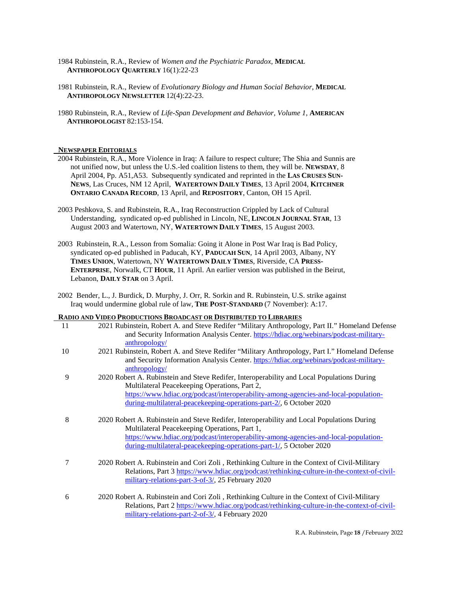- 1984 Rubinstein, R.A., Review of *Women and the Psychiatric Paradox*, **MEDICAL ANTHROPOLOGY QUARTERLY** 16(1):22-23
- 1981 Rubinstein, R.A., Review of *Evolutionary Biology and Human Social Behavior*, **MEDICAL ANTHROPOLOGY NEWSLETTER** 12(4):22-23.
- 1980 Rubinstein, R.A., Review of *Life-Span Development and Behavior, Volume 1*, **AMERICAN ANTHROPOLOGIST** 82:153-154.

#### **NEWSPAPER EDITORIALS**

- 2004 Rubinstein, R.A., More Violence in Iraq: A failure to respect culture; The Shia and Sunnis are not unified now, but unless the U.S.-led coalition listens to them, they will be. **NEWSDAY**, 8 April 2004, Pp. A51,A53. Subsequently syndicated and reprinted in the **LAS CRUSES SUN-NEWS**, Las Cruces, NM 12 April, **WATERTOWN DAILY TIMES**, 13 April 2004, **KITCHNER ONTARIO CANADA RECORD**, 13 April, and **REPOSITORY**, Canton, OH 15 April.
- 2003 Peshkova, S. and Rubinstein, R.A., Iraq Reconstruction Crippled by Lack of Cultural Understanding, syndicated op-ed published in Lincoln, NE, **LINCOLN JOURNAL STAR**, 13 August 2003 and Watertown, NY, **WATERTOWN DAILY TIMES***,* 15 August 2003.
- 2003 Rubinstein, R.A., Lesson from Somalia: Going it Alone in Post War Iraq is Bad Policy, syndicated op-ed published in Paducah, KY, **PADUCAH SUN**, 14 April 2003, Albany, NY **TIMES UNION**, Watertown, NY **WATERTOWN DAILY TIMES**, Riverside, CA **PRESS-ENTERPRISE**, Norwalk, CT **HOUR**, 11 April. An earlier version was published in the Beirut, Lebanon, **DAILY STAR** on 3 April.
- 2002 Bender, L., J. Burdick, D. Murphy, J. Orr, R. Sorkin and R. Rubinstein, U.S. strike against Iraq would undermine global rule of law, **THE POST-STANDARD** (7 November): A:17.

# **RADIO AND VIDEO PRODUCTIONS BROADCAST OR DISTRIBUTED TO LIBRARIES**

|    | There I Report From DROID CHOI ON DISTRIBUTED TO EMPRISS                                        |
|----|-------------------------------------------------------------------------------------------------|
| 11 | 2021 Rubinstein, Robert A. and Steve Redifer "Military Anthropology, Part II." Homeland Defense |
|    | and Security Information Analysis Center. https://hdiac.org/webinars/podcast-military-          |
|    | anthropology/                                                                                   |
| 10 | 2021 Rubinstein, Robert A. and Steve Redifer "Military Anthropology, Part I." Homeland Defense  |
|    | and Security Information Analysis Center. https://hdiac.org/webinars/podcast-military-          |
|    | anthropology/                                                                                   |
| 9  | 2020 Robert A. Rubinstein and Steve Redifer, Interoperability and Local Populations During      |
|    | Multilateral Peacekeeping Operations, Part 2,                                                   |
|    | https://www.hdiac.org/podcast/interoperability-among-agencies-and-local-population-             |
|    | during-multilateral-peacekeeping-operations-part-2/, 6 October 2020                             |
|    |                                                                                                 |
| 8  | 2020 Robert A. Rubinstein and Steve Redifer, Interoperability and Local Populations During      |
|    | Multilateral Peacekeeping Operations, Part 1,                                                   |
|    | https://www.hdiac.org/podcast/interoperability-among-agencies-and-local-population-             |
|    | during-multilateral-peacekeeping-operations-part-1/, 5 October 2020                             |
|    |                                                                                                 |
| 7  | 2020 Robert A. Rubinstein and Cori Zoli, Rethinking Culture in the Context of Civil-Military    |
|    | Relations, Part 3 https://www.hdiac.org/podcast/rethinking-culture-in-the-context-of-civil-     |
|    | military-relations-part-3-of-3/, 25 February 2020                                               |
| 6  | 2020 Robert A. Rubinstein and Cori Zoli, Rethinking Culture in the Context of Civil-Military    |
|    | Relations, Part 2 https://www.hdiac.org/podcast/rethinking-culture-in-the-context-of-civil-     |
|    | military-relations-part-2-of-3/, 4 February 2020                                                |
|    |                                                                                                 |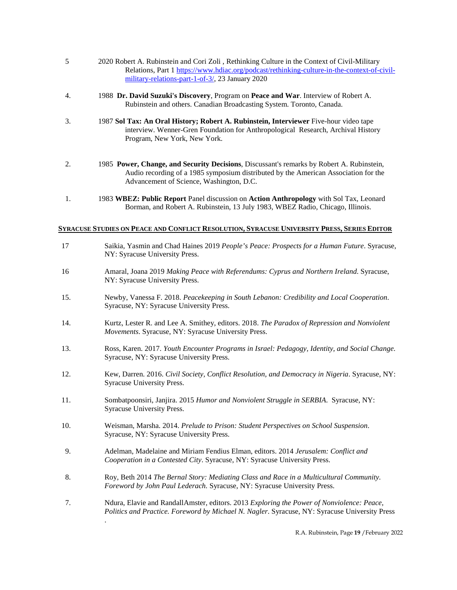- 5 2020 Robert A. Rubinstein and Cori Zoli , Rethinking Culture in the Context of Civil-Military Relations, Part [1 https://www.hdiac.org/podcast/rethinking-culture-in-the-context-of-civil](https://www.hdiac.org/podcast/rethinking-culture-in-the-context-of-civil-military-relations-part-1-of-3/)[military-relations-part-1-of-3/,](https://www.hdiac.org/podcast/rethinking-culture-in-the-context-of-civil-military-relations-part-1-of-3/) 23 January 2020
- 4. 1988 **Dr. David Suzuki's Discovery**, Program on **Peace and War**. Interview of Robert A. Rubinstein and others. Canadian Broadcasting System. Toronto, Canada.
- 3. 1987 **Sol Tax: An Oral History; Robert A. Rubinstein, Interviewer** Five-hour video tape interview. Wenner-Gren Foundation for Anthropological Research, Archival History Program, New York, New York.
- 2. 1985 **Power, Change, and Security Decisions**, Discussant's remarks by Robert A. Rubinstein, Audio recording of a 1985 symposium distributed by the American Association for the Advancement of Science, Washington, D.C.
- 1. 1983 **WBEZ: Public Report** Panel discussion on **Action Anthropology** with Sol Tax, Leonard Borman, and Robert A. Rubinstein, 13 July 1983, WBEZ Radio, Chicago, Illinois.

#### **SYRACUSE STUDIES ON PEACE AND CONFLICT RESOLUTION, SYRACUSE UNIVERSITY PRESS, SERIES EDITOR**

| 17  | Saikia, Yasmin and Chad Haines 2019 People's Peace: Prospects for a Human Future. Syracuse,<br>NY: Syracuse University Press.                                                              |
|-----|--------------------------------------------------------------------------------------------------------------------------------------------------------------------------------------------|
| 16  | Amaral, Joana 2019 Making Peace with Referendums: Cyprus and Northern Ireland. Syracuse,<br>NY: Syracuse University Press.                                                                 |
| 15. | Newby, Vanessa F. 2018. Peacekeeping in South Lebanon: Credibility and Local Cooperation.<br>Syracuse, NY: Syracuse University Press.                                                      |
| 14. | Kurtz, Lester R. and Lee A. Smithey, editors. 2018. The Paradox of Repression and Nonviolent<br>Movements. Syracuse, NY: Syracuse University Press.                                        |
| 13. | Ross, Karen. 2017. Youth Encounter Programs in Israel: Pedagogy, Identity, and Social Change.<br>Syracuse, NY: Syracuse University Press.                                                  |
| 12. | Kew, Darren. 2016. Civil Society, Conflict Resolution, and Democracy in Nigeria. Syracuse, NY:<br><b>Syracuse University Press.</b>                                                        |
| 11. | Sombatpoonsiri, Janjira. 2015 Humor and Nonviolent Struggle in SERBIA. Syracuse, NY:<br><b>Syracuse University Press.</b>                                                                  |
| 10. | Weisman, Marsha. 2014. Prelude to Prison: Student Perspectives on School Suspension.<br>Syracuse, NY: Syracuse University Press.                                                           |
| 9.  | Adelman, Madelaine and Miriam Fendius Elman, editors. 2014 Jerusalem: Conflict and<br>Cooperation in a Contested City. Syracuse, NY: Syracuse University Press.                            |
| 8.  | Roy, Beth 2014 The Bernal Story: Mediating Class and Race in a Multicultural Community.<br>Foreword by John Paul Lederach. Syracuse, NY: Syracuse University Press.                        |
| 7.  | Ndura, Elavie and RandallAmster, editors. 2013 Exploring the Power of Nonviolence: Peace,<br>Politics and Practice. Foreword by Michael N. Nagler. Syracuse, NY: Syracuse University Press |

.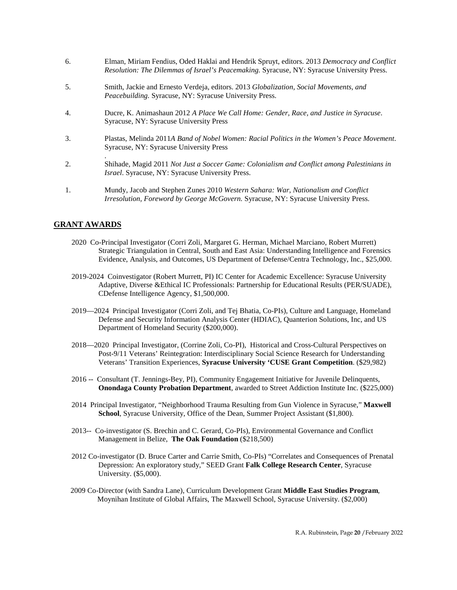- 6. Elman, Miriam Fendius, Oded Haklai and Hendrik Spruyt, editors. 2013 *Democracy and Conflict Resolution: The Dilemmas of Israel's Peacemaking.* Syracuse, NY: Syracuse University Press.
- 5. Smith, Jackie and Ernesto Verdeja, editors. 2013 *Globalization, Social Movements, and Peacebuilding.* Syracuse, NY: Syracuse University Press.
- 4. Ducre, K. Animashaun 2012 *A Place We Call Home: Gender, Race, and Justice in Syracuse*. Syracuse, NY: Syracuse University Press
- 3. Plastas, Melinda 2011*A Band of Nobel Women: Racial Politics in the Women's Peace Movement*. Syracuse, NY: Syracuse University Press
- 2. Shihade, Magid 2011 *Not Just a Soccer Game: Colonialism and Conflict among Palestinians in Israel*. Syracuse, NY: Syracuse University Press.
- 1. Mundy, Jacob and Stephen Zunes 2010 *Western Sahara: War, Nationalism and Conflict Irresolution, Foreword by George McGovern.* Syracuse, NY: Syracuse University Press.

# **GRANT AWARDS**

.

- 2020 Co-Principal Investigator (Corri Zoli, Margaret G. Herman, Michael Marciano, Robert Murrett) Strategic Triangulation in Central, South and East Asia: Understanding Intelligence and Forensics Evidence, Analysis, and Outcomes, US Department of Defense/Centra Technology, Inc., \$25,000.
- 2019-2024 Coinvestigator (Robert Murrett, PI) IC Center for Academic Excellence: Syracuse University Adaptive, Diverse &Ethical IC Professionals: Partnership for Educational Results (PER/SUADE), CDefense Intelligence Agency, \$1,500,000.
- 2019—2024 Principal Investigator (Corri Zoli, and Tej Bhatia, Co-PIs), Culture and Language, Homeland Defense and Security Information Analysis Center (HDIAC), Quanterion Solutions, Inc, and US Department of Homeland Security (\$200,000).
- 2018—2020 Principal Investigator, (Corrine Zoli, Co-PI), Historical and Cross-Cultural Perspectives on Post-9/11 Veterans' Reintegration: Interdisciplinary Social Science Research for Understanding Veterans' Transition Experiences, **Syracuse University 'CUSE Grant Competition**. (\$29,982)
- 2016 -- Consultant (T. Jennings-Bey, PI), Community Engagement Initiative for Juvenile Delinquents, **Onondaga County Probation Department**, awarded to Street Addiction Institute Inc. (\$225,000)
- 2014 Principal Investigator, "Neighborhood Trauma Resulting from Gun Violence in Syracuse," **Maxwell School**, Syracuse University, Office of the Dean, Summer Project Assistant (\$1,800).
- 2013-- Co-investigator (S. Brechin and C. Gerard, Co-PIs), Environmental Governance and Conflict Management in Belize, **The Oak Foundation** (\$218,500)
- 2012 Co-investigator (D. Bruce Carter and Carrie Smith, Co-PIs) "Correlates and Consequences of Prenatal Depression: An exploratory study," SEED Grant **Falk College Research Center**, Syracuse University. (\$5,000).
- 2009 Co-Director (with Sandra Lane), Curriculum Development Grant **Middle East Studies Program**, Moynihan Institute of Global Affairs, The Maxwell School, Syracuse University. (\$2,000)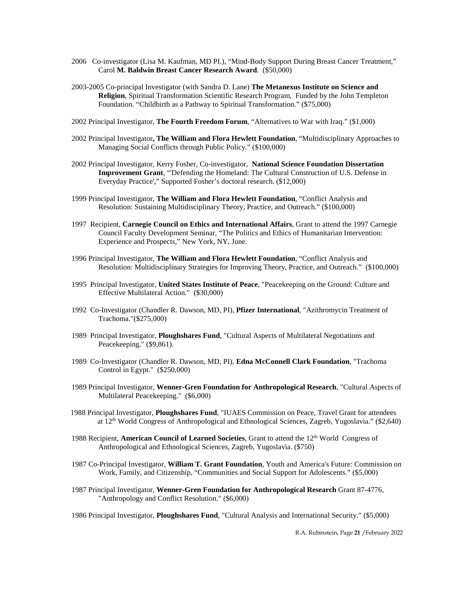- 2006 Co-investigator (Lisa M. Kaufman, MD PI.), "Mind-Body Support During Breast Cancer Treatment," Carol **M. Baldwin Breast Cancer Research Award**. (\$50,000)
- 2003-2005 Co-principal Investigator (with Sandra D. Lane) **The Metanexus Institute on Science and Religion**, Spiritual Transformation Scientific Research Program, Funded by the John Templeton Foundation. "Childbirth as a Pathway to Spiritual Transformation." (\$75,000)
- 2002 Principal Investigator, **The Fourth Freedom Forum**, "Alternatives to War with Iraq." (\$1,000)
- 2002 Principal Investigator**, The William and Flora Hewlett Foundation**, "Multidisciplinary Approaches to Managing Social Conflicts through Public Policy." (\$100,000)
- 2002 Principal Investigator, Kerry Fosher, Co-investigator, **National Science Foundation Dissertation Improvement Grant**, "'Defending the Homeland: The Cultural Construction of U.S. Defense in Everyday Practice'," Supported Fosher's doctoral research. (\$12,000)
- 1999 Principal Investigator, **The William and Flora Hewlett Foundation**, "Conflict Analysis and Resolution: Sustaining Multidisciplinary Theory, Practice, and Outreach." (\$100,000)
- 1997 Recipient, **Carnegie Council on Ethics and International Affairs**, Grant to attend the 1997 Carnegie Council Faculty Development Seminar, "The Politics and Ethics of Humanitarian Intervention: Experience and Prospects," New York, NY, June.
- 1996 Principal Investigator, **The William and Flora Hewlett Foundation**, "Conflict Analysis and Resolution: Multidisciplinary Strategies for Improving Theory, Practice, and Outreach." (\$100,000)
- 1995 Principal Investigator, **United States Institute of Peace**, "Peacekeeping on the Ground: Culture and Effective Multilateral Action." (\$30,000)
- 1992 Co-Investigator (Chandler R. Dawson, MD, PI), **Pfizer International**, "Azithromycin Treatment of Trachoma."(\$275,000)
- 1989 Principal Investigator, **Ploughshares Fund**, "Cultural Aspects of Multilateral Negotiations and Peacekeeping." (\$9,861).
- 1989 Co-Investigator (Chandler R. Dawson, MD, PI), **Edna McConnell Clark Foundation**, "Trachoma Control in Egypt." (\$250,000)
- 1989 Principal Investigator, **Wenner-Gren Foundation for Anthropological Research**, "Cultural Aspects of Multilateral Peacekeeping." (\$6,000)
- 1988 Principal Investigator, **Ploughshares Fund**, "IUAES Commission on Peace, Travel Grant for attendees at 12th World Congress of Anthropological and Ethnological Sciences, Zagreb, Yugoslavia." (\$2,640)
- 1988 Recipient, **American Council of Learned Societies**, Grant to attend the 12th World Congress of Anthropological and Ethnological Sciences, Zagreb, Yugoslavia. (\$750)
- 1987 Co-Principal Investigator, **William T. Grant Foundation**, Youth and America's Future: Commission on Work, Family, and Citizenship, "Communities and Social Support for Adolescents." (\$5,000)
- 1987 Principal Investigator, **Wenner-Gren Foundation for Anthropological Research** Grant 87-4776, "Anthropology and Conflict Resolution." (\$6,000)

1986 Principal Investigator, **Ploughshares Fund**, "Cultural Analysis and International Security." (\$5,000)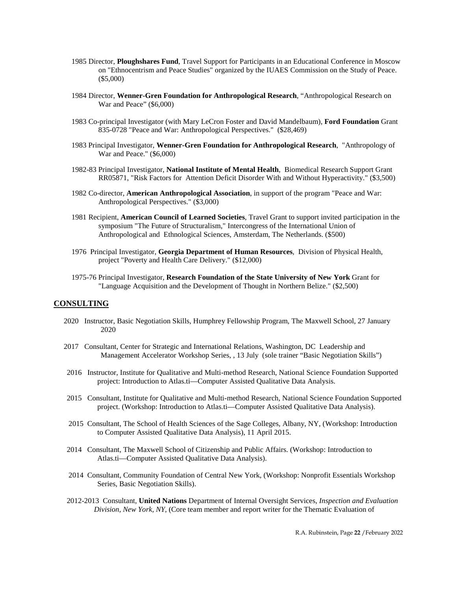- 1985 Director, **Ploughshares Fund**, Travel Support for Participants in an Educational Conference in Moscow on "Ethnocentrism and Peace Studies" organized by the IUAES Commission on the Study of Peace. (\$5,000)
- 1984 Director, **Wenner-Gren Foundation for Anthropological Research**, "Anthropological Research on War and Peace" (\$6,000)
- 1983 Co-principal Investigator (with Mary LeCron Foster and David Mandelbaum), **Ford Foundation** Grant 835-0728 "Peace and War: Anthropological Perspectives." (\$28,469)
- 1983 Principal Investigator, **Wenner-Gren Foundation for Anthropological Research**, "Anthropology of War and Peace." (\$6,000)
- 1982-83 Principal Investigator, **National Institute of Mental Health**, Biomedical Research Support Grant RR05871, "Risk Factors for Attention Deficit Disorder With and Without Hyperactivity." (\$3,500)
- 1982 Co-director, **American Anthropological Association**, in support of the program "Peace and War: Anthropological Perspectives." (\$3,000)
- 1981 Recipient, **American Council of Learned Societies**, Travel Grant to support invited participation in the symposium "The Future of Structuralism," Intercongress of the International Union of Anthropological and Ethnological Sciences, Amsterdam, The Netherlands. (\$500)
- 1976 Principal Investigator, **Georgia Department of Human Resources**, Division of Physical Health, project "Poverty and Health Care Delivery." (\$12,000)
- 1975-76 Principal Investigator, **Research Foundation of the State University of New York** Grant for "Language Acquisition and the Development of Thought in Northern Belize." (\$2,500)

# **CONSULTING**

- 2020 Instructor, Basic Negotiation Skills, Humphrey Fellowship Program, The Maxwell School, 27 January 2020
- 2017 Consultant, Center for Strategic and International Relations, Washington, DC Leadership and Management Accelerator Workshop Series, , 13 July (sole trainer "Basic Negotiation Skills")
- 2016 Instructor, Institute for Qualitative and Multi-method Research, National Science Foundation Supported project: Introduction to Atlas.ti—Computer Assisted Qualitative Data Analysis.
- 2015 Consultant, Institute for Qualitative and Multi-method Research, National Science Foundation Supported project. (Workshop: Introduction to Atlas.ti—Computer Assisted Qualitative Data Analysis).
- 2015 Consultant, The School of Health Sciences of the Sage Colleges, Albany, NY, (Workshop: Introduction to Computer Assisted Qualitative Data Analysis), 11 April 2015.
- 2014 Consultant, The Maxwell School of Citizenship and Public Affairs. (Workshop: Introduction to Atlas.ti—Computer Assisted Qualitative Data Analysis).
- 2014 Consultant, Community Foundation of Central New York, (Workshop: Nonprofit Essentials Workshop Series, Basic Negotiation Skills).
- 2012-2013 Consultant, **United Nations** Department of Internal Oversight Services, *Inspection and Evaluation Division, New York, NY,* (Core team member and report writer for the Thematic Evaluation of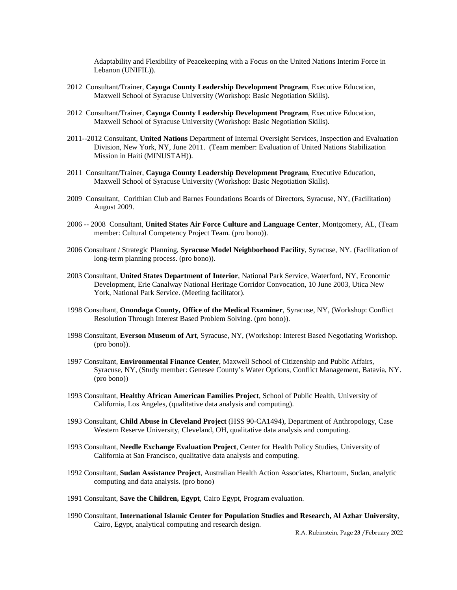Adaptability and Flexibility of Peacekeeping with a Focus on the United Nations Interim Force in Lebanon (UNIFIL)).

- 2012 Consultant/Trainer, **Cayuga County Leadership Development Program**, Executive Education, Maxwell School of Syracuse University (Workshop: Basic Negotiation Skills).
- 2012 Consultant/Trainer, **Cayuga County Leadership Development Program**, Executive Education, Maxwell School of Syracuse University (Workshop: Basic Negotiation Skills).
- 2011--2012 Consultant, **United Nations** Department of Internal Oversight Services, Inspection and Evaluation Division, New York, NY, June 2011. (Team member: Evaluation of United Nations Stabilization Mission in Haiti (MINUSTAH)).
- 2011 Consultant/Trainer, **Cayuga County Leadership Development Program**, Executive Education, Maxwell School of Syracuse University (Workshop: Basic Negotiation Skills).
- 2009 Consultant, Corithian Club and Barnes Foundations Boards of Directors, Syracuse, NY, (Facilitation) August 2009.
- 2006 -- 2008 Consultant, **United States Air Force Culture and Language Center**, Montgomery, AL, (Team member: Cultural Competency Project Team. (pro bono)).
- 2006 Consultant / Strategic Planning, **Syracuse Model Neighborhood Facility**, Syracuse, NY. (Facilitation of long-term planning process. (pro bono)).
- 2003 Consultant, **United States Department of Interior**, National Park Service, Waterford, NY, Economic Development, Erie Canalway National Heritage Corridor Convocation, 10 June 2003, Utica New York, National Park Service. (Meeting facilitator).
- 1998 Consultant, **Onondaga County, Office of the Medical Examiner**, Syracuse, NY, (Workshop: Conflict Resolution Through Interest Based Problem Solving. (pro bono)).
- 1998 Consultant, **Everson Museum of Art**, Syracuse, NY, (Workshop: Interest Based Negotiating Workshop. (pro bono)).
- 1997 Consultant, **Environmental Finance Center**, Maxwell School of Citizenship and Public Affairs, Syracuse, NY, (Study member: Genesee County's Water Options, Conflict Management, Batavia, NY. (pro bono))
- 1993 Consultant, **Healthy African American Families Project**, School of Public Health, University of California, Los Angeles, (qualitative data analysis and computing).
- 1993 Consultant, **Child Abuse in Cleveland Project** (HSS 90-CA1494), Department of Anthropology, Case Western Reserve University, Cleveland, OH, qualitative data analysis and computing.
- 1993 Consultant, **Needle Exchange Evaluation Project**, Center for Health Policy Studies, University of California at San Francisco, qualitative data analysis and computing.
- 1992 Consultant, **Sudan Assistance Project**, Australian Health Action Associates, Khartoum, Sudan, analytic computing and data analysis. (pro bono)
- 1991 Consultant, **Save the Children, Egypt**, Cairo Egypt, Program evaluation.
- 1990 Consultant, **International Islamic Center for Population Studies and Research, Al Azhar University**, Cairo, Egypt, analytical computing and research design.

R.A. Rubinstein, Page **23** /February 2022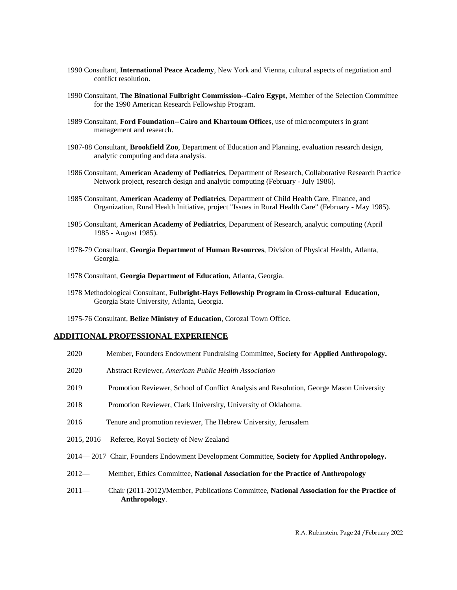- 1990 Consultant, **International Peace Academy**, New York and Vienna, cultural aspects of negotiation and conflict resolution.
- 1990 Consultant, **The Binational Fulbright Commission--Cairo Egypt**, Member of the Selection Committee for the 1990 American Research Fellowship Program.
- 1989 Consultant, **Ford Foundation--Cairo and Khartoum Offices**, use of microcomputers in grant management and research.
- 1987-88 Consultant, **Brookfield Zoo**, Department of Education and Planning, evaluation research design, analytic computing and data analysis.
- 1986 Consultant, **American Academy of Pediatrics**, Department of Research, Collaborative Research Practice Network project, research design and analytic computing (February - July 1986).
- 1985 Consultant, **American Academy of Pediatrics**, Department of Child Health Care, Finance, and Organization, Rural Health Initiative, project "Issues in Rural Health Care" (February - May 1985).
- 1985 Consultant, **American Academy of Pediatrics**, Department of Research, analytic computing (April 1985 - August 1985).
- 1978-79 Consultant, **Georgia Department of Human Resources**, Division of Physical Health, Atlanta, Georgia.
- 1978 Consultant, **Georgia Department of Education**, Atlanta, Georgia.
- 1978 Methodological Consultant, **Fulbright-Hays Fellowship Program in Cross-cultural Education**, Georgia State University, Atlanta, Georgia.
- 1975-76 Consultant, **Belize Ministry of Education**, Corozal Town Office.

# **ADDITIONAL PROFESSIONAL EXPERIENCE**

- 2020 Member, Founders Endowment Fundraising Committee, **Society for Applied Anthropology.**
- 2020 Abstract Reviewer, *American Public Health Association*
- 2019 Promotion Reviewer, School of Conflict Analysis and Resolution, George Mason University
- 2018 Promotion Reviewer, Clark University, University of Oklahoma.
- 2016 Tenure and promotion reviewer, The Hebrew University, Jerusalem
- 2015, 2016 Referee, Royal Society of New Zealand
- 2014— 2017 Chair, Founders Endowment Development Committee, **Society for Applied Anthropology.**
- 2012— Member, Ethics Committee, **National Association for the Practice of Anthropology**
- 2011— Chair (2011-2012)/Member, Publications Committee, **National Association for the Practice of Anthropology**.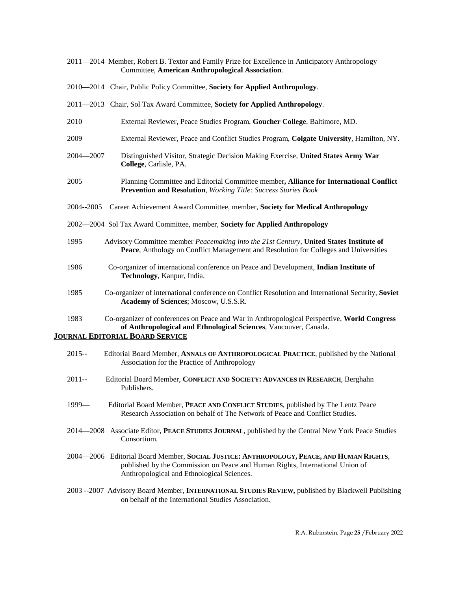|               | 2011—2014 Member, Robert B. Textor and Family Prize for Excellence in Anticipatory Anthropology<br>Committee, American Anthropological Association.                             |
|---------------|---------------------------------------------------------------------------------------------------------------------------------------------------------------------------------|
|               | 2010—2014 Chair, Public Policy Committee, Society for Applied Anthropology.                                                                                                     |
|               | 2011-2013 Chair, Sol Tax Award Committee, Society for Applied Anthropology.                                                                                                     |
| 2010          | External Reviewer, Peace Studies Program, Goucher College, Baltimore, MD.                                                                                                       |
| 2009          | External Reviewer, Peace and Conflict Studies Program, Colgate University, Hamilton, NY.                                                                                        |
| $2004 - 2007$ | Distinguished Visitor, Strategic Decision Making Exercise, United States Army War<br>College, Carlisle, PA.                                                                     |
| 2005          | Planning Committee and Editorial Committee member, Alliance for International Conflict<br>Prevention and Resolution, Working Title: Success Stories Book                        |
| 2004--2005    | Career Achievement Award Committee, member, Society for Medical Anthropology                                                                                                    |
|               | 2002-2004 Sol Tax Award Committee, member, Society for Applied Anthropology                                                                                                     |
| 1995          | Advisory Committee member Peacemaking into the 21st Century, United States Institute of<br>Peace, Anthology on Conflict Management and Resolution for Colleges and Universities |
| 1986          | Co-organizer of international conference on Peace and Development, Indian Institute of<br>Technology, Kanpur, India.                                                            |
| 1985          | Co-organizer of international conference on Conflict Resolution and International Security, Soviet<br>Academy of Sciences; Moscow, U.S.S.R.                                     |
| 1983          | Co-organizer of conferences on Peace and War in Anthropological Perspective, World Congress<br>of Anthropological and Ethnological Sciences, Vancouver, Canada.                 |
|               | <b>JOURNAL EDITORIAL BOARD SERVICE</b>                                                                                                                                          |
| $2015 -$      | Editorial Board Member, ANNALS OF ANTHROPOLOGICAL PRACTICE, published by the National<br>Association for the Practice of Anthropology                                           |
| $2011 -$      | Editorial Board Member, CONFLICT AND SOCIETY: ADVANCES IN RESEARCH, Berghahn                                                                                                    |

1999— Editorial Board Member, **PEACE AND CONFLICT STUDIES***,* published by The Lentz Peace

Publishers.

- Research Association on behalf of The Network of Peace and Conflict Studies.
- 2014—2008 Associate Editor, **PEACE STUDIES JOURNAL**, published by the Central New York Peace Studies Consortium.
- 2004—2006 Editorial Board Member, **SOCIAL JUSTICE: ANTHROPOLOGY, PEACE, AND HUMAN RIGHTS**, published by the Commission on Peace and Human Rights, International Union of Anthropological and Ethnological Sciences.
- 2003 --2007 Advisory Board Member, **INTERNATIONAL STUDIES REVIEW,** published by Blackwell Publishing on behalf of the International Studies Association.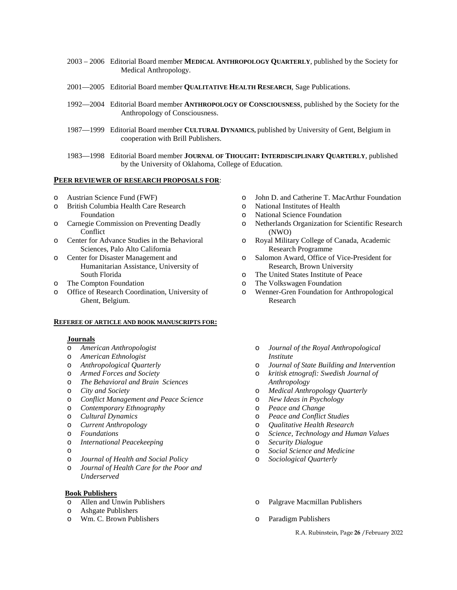- 2003 2006 Editorial Board member **MEDICAL ANTHROPOLOGY QUARTERLY**, published by the Society for Medical Anthropology.
- 2001—2005 Editorial Board member **QUALITATIVE HEALTH RESEARCH***,* Sage Publications.
- 1992—2004 Editorial Board member **ANTHROPOLOGY OF CONSCIOUSNESS**, published by the Society for the Anthropology of Consciousness.
- 1987—1999 Editorial Board member **CULTURAL DYNAMICS,** published by University of Gent, Belgium in cooperation with Brill Publishers.
- 1983—1998 Editorial Board member **JOURNAL OF THOUGHT: INTERDISCIPLINARY QUARTERLY**, published by the University of Oklahoma, College of Education.

# **PEER REVIEWER OF RESEARCH PROPOSALS FOR**:

- o Austrian Science Fund (FWF)
- o British Columbia Health Care Research Foundation
- o Carnegie Commission on Preventing Deadly **Conflict**
- o Center for Advance Studies in the Behavioral Sciences, Palo Alto California
- o Center for Disaster Management and Humanitarian Assistance, University of South Florida
- o The Compton Foundation
- o Office of Research Coordination, University of Ghent, Belgium.

#### **REFEREE OF ARTICLE AND BOOK MANUSCRIPTS FOR:**

#### **Journals**

- o *American Anthropologist*
- o *American Ethnologist*
- o *Anthropological Quarterly*
- o *Armed Forces and Society*
- o *The Behavioral and Brain Sciences*
- o *City and Society*
- o *Conflict Management and Peace Science*
- o *Contemporary Ethnography*
- o *Cultural Dynamics*
- o *Current Anthropology*
- o *Foundations*
- o *International Peacekeeping*
- o
- o *Journal of Health and Social Policy*
- o *Journal of Health Care for the Poor and Underserved*

#### **Book Publishers**

- o Allen and Unwin Publishers
- o Ashgate Publishers
- o Wm. C. Brown Publishers
- o John D. and Catherine T. MacArthur Foundation
- o National Institutes of Health
- o National Science Foundation
- o Netherlands Organization for Scientific Research (NWO)
- o Royal Military College of Canada, Academic Research Programme
- o Salomon Award, Office of Vice-President for Research, Brown University
- o The United States Institute of Peace
- o The Volkswagen Foundation
- o Wenner-Gren Foundation for Anthropological Research
	- o *Journal of the Royal Anthropological Institute*
	- o *Journal of State Building and Intervention*
	- o *kritisk etnografi: Swedish Journal of Anthropology*
	- o *Medical Anthropology Quarterly*
	- o *New Ideas in Psychology*
	- o *Peace and Change*
	- o *Peace and Conflict Studies*
	- o *Qualitative Health Research*
	- Science, Technology and Human Values
	- o *Security Dialogue*
	- o *Social Science and Medicine*
	- Sociological Quarterly
	- o Palgrave Macmillan Publishers
	- o Paradigm Publishers

R.A. Rubinstein, Page **26** /February 2022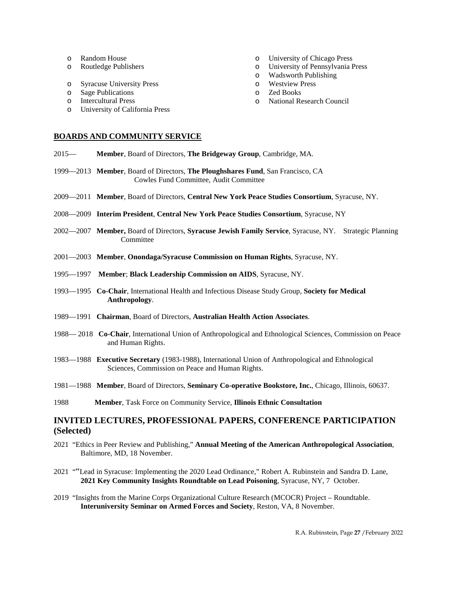- o Random House
- o Routledge Publishers
- o Syracuse University Press
- o Sage Publications
- o Intercultural Press
- o University of California Press

## **BOARDS AND COMMUNITY SERVICE**

- 2015— **Member**, Board of Directors, **The Bridgeway Group**, Cambridge, MA.
- 1999—2013 **Member**, Board of Directors, **The Ploughshares Fund**, San Francisco, CA Cowles Fund Committee, Audit Committee
- 2009—2011 **Member**, Board of Directors, **Central New York Peace Studies Consortium**, Syracuse, NY.
- 2008—2009 **Interim President**, **Central New York Peace Studies Consortium**, Syracuse, NY
- 2002—2007 **Member,** Board of Directors, **Syracuse Jewish Family Service**, Syracuse, NY. Strategic Planning Committee
- 2001—2003 **Member**, **Onondaga/Syracuse Commission on Human Rights**, Syracuse, NY.
- 1995—1997 **Member**; **Black Leadership Commission on AIDS**, Syracuse, NY.
- 1993—1995 **Co-Chair**, International Health and Infectious Disease Study Group, **Society for Medical Anthropology**.
- 1989—1991 **Chairman**, Board of Directors, **Australian Health Action Associates**.
- 1988— 2018 **Co-Chair**, International Union of Anthropological and Ethnological Sciences, Commission on Peace and Human Rights.
- 1983—1988 **Executive Secretary** (1983-1988), International Union of Anthropological and Ethnological Sciences, Commission on Peace and Human Rights.
- 1981—1988 **Member**, Board of Directors, **Seminary Co-operative Bookstore, Inc.**, Chicago, Illinois, 60637.
- 1988 **Member**, Task Force on Community Service, **Illinois Ethnic Consultation**

# **INVITED LECTURES, PROFESSIONAL PAPERS, CONFERENCE PARTICIPATION (Selected)**

- 2021 "Ethics in Peer Review and Publishing," **Annual Meeting of the American Anthropological Association**, Baltimore, MD, 18 November.
- 2021 ""Lead in Syracuse: Implementing the 2020 Lead Ordinance," Robert A. Rubinstein and Sandra D. Lane, **2021 Key Community Insights Roundtable on Lead Poisoning**, Syracuse, NY, 7 October.
- 2019 "Insights from the Marine Corps Organizational Culture Research (MCOCR) Project Roundtable. **Interuniversity Seminar on Armed Forces and Society**, Reston, VA, 8 November.
- o University of Chicago Press
- o University of Pennsylvania Press
- o Wadsworth Publishing
- o Westview Press
- o Zed Books
- o National Research Council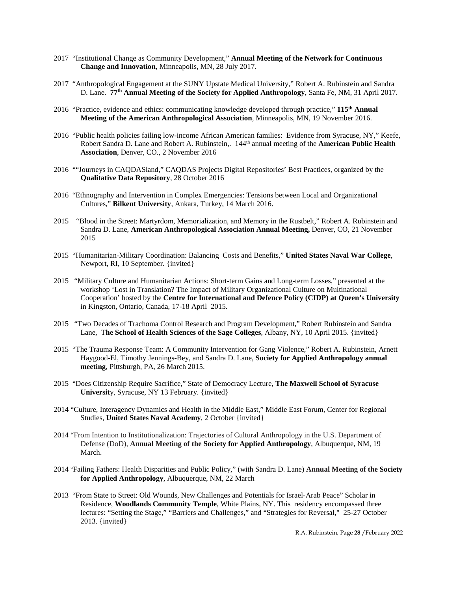- 2017 "Institutional Change as Community Development," **Annual Meeting of the Network for Continuous Change and Innovation**, Minneapolis, MN, 28 July 2017.
- 2017 "Anthropological Engagement at the SUNY Upstate Medical University," Robert A. Rubinstein and Sandra D. Lane. **77th Annual Meeting of the Society for Applied Anthropology**, Santa Fe, NM, 31 April 2017.
- 2016 "Practice, evidence and ethics: communicating knowledge developed through practice," **115th Annual Meeting of the American Anthropological Association**, Minneapolis, MN, 19 November 2016.
- 2016 "Public health policies failing low-income African American families: Evidence from Syracuse, NY," Keefe, Robert Sandra D. Lane and Robert A. Rubinstein,. 144th annual meeting of the **American Public Health Association**, Denver, CO., 2 November 2016
- 2016 ""Journeys in CAQDASland," CAQDAS Projects Digital Repositories' Best Practices, organized by the **Qualitative Data Repository**, 28 October 2016
- 2016 "Ethnography and Intervention in Complex Emergencies: Tensions between Local and Organizational Cultures," **Bilkent University**, Ankara, Turkey, 14 March 2016.
- 2015 "Blood in the Street: Martyrdom, Memorialization, and Memory in the Rustbelt," Robert A. Rubinstein and Sandra D. Lane, **American Anthropological Association Annual Meeting,** Denver, CO, 21 November 2015
- 2015 "Humanitarian-Military Coordination: Balancing Costs and Benefits," **United States Naval War College**, Newport, RI, 10 September. {invited}
- 2015 "Military Culture and Humanitarian Actions: Short-term Gains and Long-term Losses," presented at the workshop 'Lost in Translation? The Impact of Military Organizational Culture on Multinational Cooperation' hosted by the **Centre for International and Defence Policy (CIDP) at Queen's University** in Kingston, Ontario, Canada, 17-18 April 2015.
- 2015 "Two Decades of Trachoma Control Research and Program Development," Robert Rubinstein and Sandra Lane, T**he School of Health Sciences of the Sage Colleges**, Albany, NY, 10 April 2015. {invited}
- 2015 "The Trauma Response Team: A Community Intervention for Gang Violence," Robert A. Rubinstein, Arnett Haygood-El, Timothy Jennings-Bey, and Sandra D. Lane, **Society for Applied Anthropology annual meeting**, Pittsburgh, PA, 26 March 2015.
- 2015 "Does Citizenship Require Sacrifice," State of Democracy Lecture, **The Maxwell School of Syracuse Universit**y, Syracuse, NY 13 February. {invited}
- 2014 "Culture, Interagency Dynamics and Health in the Middle East," Middle East Forum, Center for Regional Studies, **United States Naval Academy**, 2 October {invited}
- 2014 "From Intention to Institutionalization: Trajectories of Cultural Anthropology in the U.S. Department of Defense (DoD), **Annual Meeting of the Society for Applied Anthropology**, Albuquerque, NM, 19 March.
- 2014 "Failing Fathers: Health Disparities and Public Policy," (with Sandra D. Lane) **Annual Meeting of the Society for Applied Anthropology**, Albuquerque, NM, 22 March
- 2013 "From State to Street: Old Wounds, New Challenges and Potentials for Israel-Arab Peace" Scholar in Residence, **Woodlands Community Temple**, White Plains, NY. This residency encompassed three lectures: "Setting the Stage," "Barriers and Challenges," and "Strategies for Reversal," 25-27 October 2013. {invited}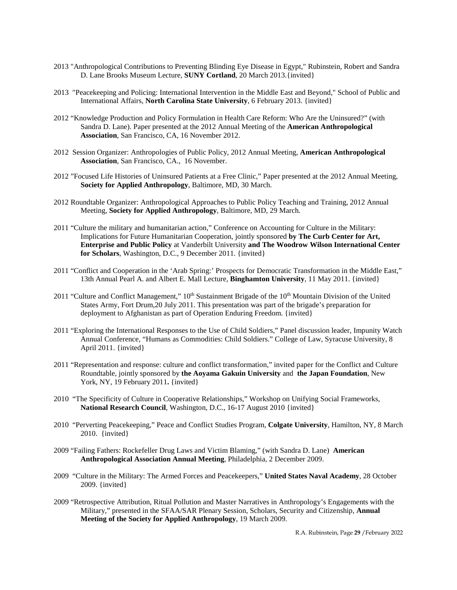- 2013 "Anthropological Contributions to Preventing Blinding Eye Disease in Egypt," Rubinstein, Robert and Sandra D. Lane Brooks Museum Lecture, **SUNY Cortland**, 20 March 2013.{invited}
- 2013 "Peacekeeping and Policing: International Intervention in the Middle East and Beyond," School of Public and International Affairs, **North Carolina State University**, 6 February 2013. {invited}
- 2012 "Knowledge Production and Policy Formulation in Health Care Reform: Who Are the Uninsured?" (with Sandra D. Lane). Paper presented at the 2012 Annual Meeting of the **American Anthropological Association**, San Francisco, CA, 16 November 2012.
- 2012 Session Organizer: Anthropologies of Public Policy, 2012 Annual Meeting, **American Anthropological Association**, San Francisco, CA., 16 November.
- 2012 "Focused Life Histories of Uninsured Patients at a Free Clinic," Paper presented at the 2012 Annual Meeting, **Society for Applied Anthropology**, Baltimore, MD, 30 March.
- 2012 Roundtable Organizer: Anthropological Approaches to Public Policy Teaching and Training, 2012 Annual Meeting, **Society for Applied Anthropology**, Baltimore, MD, 29 March.
- 2011 "Culture the military and humanitarian action," Conference on Accounting for Culture in the Military: Implications for Future Humanitarian Cooperation, jointly sponsored **by The Curb Center for Art, Enterprise and Public Policy** at Vanderbilt University **and The Woodrow Wilson International Center for Scholars**, Washington, D.C., 9 December 2011. {invited}
- 2011 "Conflict and Cooperation in the 'Arab Spring:' Prospects for Democratic Transformation in the Middle East," 13th Annual Pearl A. and Albert E. Mall Lecture, **Binghamton University**, 11 May 2011. {invited}
- 2011 "Culture and Conflict Management,"  $10<sup>th</sup>$  Sustainment Brigade of the  $10<sup>th</sup>$  Mountain Division of the United States Army, Fort Drum,20 July 2011. This presentation was part of the brigade's preparation for deployment to Afghanistan as part of Operation Enduring Freedom. {invited}
- 2011 "Exploring the International Responses to the Use of Child Soldiers," Panel discussion leader, Impunity Watch Annual Conference, "Humans as Commodities: Child Soldiers." College of Law, Syracuse University, 8 April 2011. {invited}
- 2011 "Representation and response: culture and conflict transformation," invited paper for the Conflict and Culture Roundtable, jointly sponsored by **the Aoyama Gakuin University** and **the Japan Foundation**, New York, NY, 19 February 2011. {invited}
- 2010 "The Specificity of Culture in Cooperative Relationships," Workshop on Unifying Social Frameworks, **National Research Council**, Washington, D.C., 16-17 August 2010 {invited}
- 2010 "Perverting Peacekeeping," Peace and Conflict Studies Program, **Colgate University**, Hamilton, NY, 8 March 2010. {invited}
- 2009 "Failing Fathers: Rockefeller Drug Laws and Victim Blaming," (with Sandra D. Lane) **American Anthropological Association Annual Meeting**, Philadelphia, 2 December 2009.
- 2009 "Culture in the Military: The Armed Forces and Peacekeepers," **United States Naval Academy**, 28 October 2009. {invited}
- 2009 "Retrospective Attribution, Ritual Pollution and Master Narratives in Anthropology's Engagements with the Military," presented in the SFAA/SAR Plenary Session, Scholars, Security and Citizenship, **Annual Meeting of the Society for Applied Anthropology**, 19 March 2009.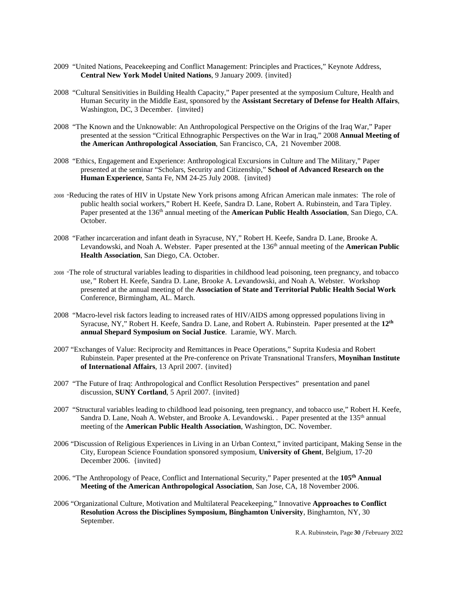- 2009 "United Nations, Peacekeeping and Conflict Management: Principles and Practices," Keynote Address, **Central New York Model United Nations**, 9 January 2009. {invited}
- 2008 "Cultural Sensitivities in Building Health Capacity," Paper presented at the symposium Culture, Health and Human Security in the Middle East, sponsored by the **Assistant Secretary of Defense for Health Affairs**, Washington, DC, 3 December. {invited}
- 2008 "The Known and the Unknowable: An Anthropological Perspective on the Origins of the Iraq War," Paper presented at the session "Critical Ethnographic Perspectives on the War in Iraq," 2008 **Annual Meeting of the American Anthropological Association**, San Francisco, CA, 21 November 2008.
- 2008 "Ethics, Engagement and Experience: Anthropological Excursions in Culture and The Military," Paper presented at the seminar "Scholars, Security and Citizenship," **School of Advanced Research on the Human Experience**, Santa Fe, NM 24-25 July 2008. {invited}
- 2008 "Reducing the rates of HIV in Upstate New York prisons among African American male inmates: The role of public health social workers," Robert H. Keefe, Sandra D. Lane, Robert A. Rubinstein, and Tara Tipley. Paper presented at the 136<sup>th</sup> annual meeting of the **American Public Health Association**, San Diego, CA. October.
- 2008 "Father incarceration and infant death in Syracuse, NY*,*" Robert H. Keefe, Sandra D. Lane, Brooke A. Levandowski, and Noah A. Webster. Paper presented at the 136<sup>th</sup> annual meeting of the **American Public Health Association**, San Diego, CA. October.
- 2008 "The role of structural variables leading to disparities in childhood lead poisoning, teen pregnancy, and tobacco use*,"* Robert H. Keefe, Sandra D. Lane, Brooke A. Levandowski, and Noah A. Webster. Workshop presented at the annual meeting of the **Association of State and Territorial Public Health Social Work** Conference, Birmingham, AL. March.
- 2008 "Macro-level risk factors leading to increased rates of HIV/AIDS among oppressed populations living in Syracuse, NY," Robert H. Keefe, Sandra D. Lane, and Robert A. Rubinstein. Paper presented at the **12th annual Shepard Symposium on Social Justice**. Laramie, WY. March.
- 2007 "Exchanges of Value: Reciprocity and Remittances in Peace Operations," Suprita Kudesia and Robert Rubinstein. Paper presented at the Pre-conference on Private Transnational Transfers, **Moynihan Institute of International Affairs**, 13 April 2007. {invited}
- 2007 "The Future of Iraq: Anthropological and Conflict Resolution Perspectives" presentation and panel discussion, **SUNY Cortland**, 5 April 2007. {invited}
- 2007 "Structural variables leading to childhood lead poisoning, teen pregnancy, and tobacco use," Robert H. Keefe, Sandra D. Lane, Noah A. Webster, and Brooke A. Levandowski. . Paper presented at the 135<sup>th</sup> annual meeting of the **American Public Health Association**, Washington, DC. November.
- 2006 "Discussion of Religious Experiences in Living in an Urban Context," invited participant, Making Sense in the City, European Science Foundation sponsored symposium, **University of Ghent**, Belgium, 17-20 December 2006. {invited}
- 2006. "The Anthropology of Peace, Conflict and International Security," Paper presented at the **105th Annual Meeting of the American Anthropological Association**, San Jose, CA, 18 November 2006.
- 2006 "Organizational Culture, Motivation and Multilateral Peacekeeping," Innovative **Approaches to Conflict Resolution Across the Disciplines Symposium, Binghamton University**, Binghamton, NY, 30 September.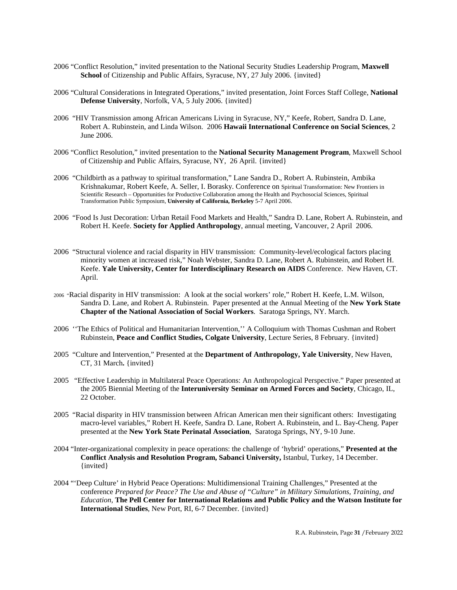- 2006 "Conflict Resolution," invited presentation to the National Security Studies Leadership Program, **Maxwell**  School of Citizenship and Public Affairs, Syracuse, NY, 27 July 2006. {invited}
- 2006 "Cultural Considerations in Integrated Operations," invited presentation, Joint Forces Staff College, **National Defense University**, Norfolk, VA, 5 July 2006. {invited}
- 2006 "HIV Transmission among African Americans Living in Syracuse, NY," Keefe, Robert, Sandra D. Lane, Robert A. Rubinstein, and Linda Wilson. 2006 **Hawaii International Conference on Social Sciences**, 2 June 2006.
- 2006 "Conflict Resolution," invited presentation to the **National Security Management Program**, Maxwell School of Citizenship and Public Affairs, Syracuse, NY, 26 April. {invited}
- 2006 "Childbirth as a pathway to spiritual transformation," Lane Sandra D., Robert A. Rubinstein, Ambika Krishnakumar, Robert Keefe, A. Seller, I. Borasky. Conference on Spiritual Transformation: New Frontiers in Scientific Research – Opportunities for Productive Collaboration among the Health and Psychosocial Sciences, Spiritual Transformation Public Symposium, **University of California, Berkeley** 5-7 April 2006.
- 2006 "Food Is Just Decoration: Urban Retail Food Markets and Health," Sandra D. Lane, Robert A. Rubinstein, and Robert H. Keefe. **Society for Applied Anthropology**, annual meeting, Vancouver, 2 April 2006.
- 2006 "Structural violence and racial disparity in HIV transmission: Community-level/ecological factors placing minority women at increased risk," Noah Webster, Sandra D. Lane, Robert A. Rubinstein, and Robert H. Keefe. **Yale University, Center for Interdisciplinary Research on AIDS** Conference. New Haven, CT. April.
- 2006 "Racial disparity in HIV transmission: A look at the social workers' role," Robert H. Keefe, L.M. Wilson, Sandra D. Lane, and Robert A. Rubinstein. Paper presented at the Annual Meeting of the **New York State Chapter of the National Association of Social Workers**. Saratoga Springs, NY. March.
- 2006 ''The Ethics of Political and Humanitarian Intervention,'' A Colloquium with Thomas Cushman and Robert Rubinstein, **Peace and Conflict Studies, Colgate University**, Lecture Series, 8 February. {invited}
- 2005 "Culture and Intervention," Presented at the **Department of Anthropology, Yale University**, New Haven, CT, 31 March**.** {invited}
- 2005 "Effective Leadership in Multilateral Peace Operations: An Anthropological Perspective." Paper presented at the 2005 Biennial Meeting of the **Interuniversity Seminar on Armed Forces and Society**, Chicago, IL, 22 October.
- 2005 "Racial disparity in HIV transmission between African American men their significant others: Investigating macro-level variables," Robert H. Keefe, Sandra D. Lane, Robert A. Rubinstein, and L. Bay-Cheng. Paper presented at the **New York State Perinatal Association**, Saratoga Springs, NY, 9-10 June.
- 2004 "Inter-organizational complexity in peace operations: the challenge of 'hybrid' operations," **Presented at the Conflict Analysis and Resolution Program, Sabanci University,** Istanbul, Turkey, 14 December. {invited}
- 2004 "'Deep Culture' in Hybrid Peace Operations: Multidimensional Training Challenges," Presented at the conference *Prepared for Peace? The Use and Abuse of "Culture" in Military Simulations, Training, and Education*, **The Pell Center for International Relations and Public Policy and the Watson Institute for International Studies**, New Port, RI, 6-7 December. {invited}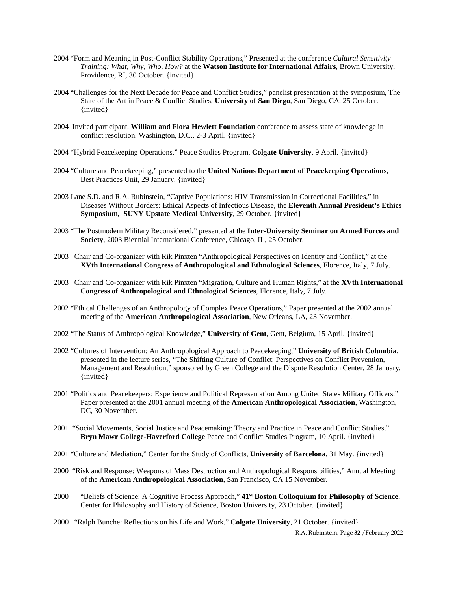- 2004 "Form and Meaning in Post-Conflict Stability Operations," Presented at the conference *Cultural Sensitivity Training: What, Why, Who, How?* at the **Watson Institute for International Affairs**, Brown University, Providence, RI, 30 October. {invited}
- 2004 "Challenges for the Next Decade for Peace and Conflict Studies," panelist presentation at the symposium, The State of the Art in Peace & Conflict Studies, **University of San Diego**, San Diego, CA, 25 October. {invited}
- 2004 Invited participant, **William and Flora Hewlett Foundation** conference to assess state of knowledge in conflict resolution. Washington, D.C., 2-3 April. {invited}
- 2004 "Hybrid Peacekeeping Operations," Peace Studies Program, **Colgate University**, 9 April. {invited}
- 2004 "Culture and Peacekeeping," presented to the **United Nations Department of Peacekeeping Operations**, Best Practices Unit, 29 January. {invited}
- 2003 Lane S.D. and R.A. Rubinstein, "Captive Populations: HIV Transmission in Correctional Facilities," in Diseases Without Borders: Ethical Aspects of Infectious Disease, the **Eleventh Annual President's Ethics Symposium, SUNY Upstate Medical University**, 29 October. {invited}
- 2003 "The Postmodern Military Reconsidered," presented at the **Inter-University Seminar on Armed Forces and Society**, 2003 Biennial International Conference, Chicago, IL, 25 October.
- 2003 Chair and Co-organizer with Rik Pinxten "Anthropological Perspectives on Identity and Conflict," at the **XVth International Congress of Anthropological and Ethnological Sciences**, Florence, Italy, 7 July.
- 2003 Chair and Co-organizer with Rik Pinxten "Migration, Culture and Human Rights," at the **XVth International Congress of Anthropological and Ethnological Sciences**, Florence, Italy, 7 July.
- 2002 "Ethical Challenges of an Anthropology of Complex Peace Operations," Paper presented at the 2002 annual meeting of the **American Anthropological Association**, New Orleans, LA, 23 November.
- 2002 "The Status of Anthropological Knowledge," **University of Gent**, Gent, Belgium, 15 April. {invited}
- 2002 "Cultures of Intervention: An Anthropological Approach to Peacekeeping," **University of British Columbia**, presented in the lecture series, "The Shifting Culture of Conflict: Perspectives on Conflict Prevention, Management and Resolution," sponsored by Green College and the Dispute Resolution Center, 28 January. {invited}
- 2001 "Politics and Peacekeepers: Experience and Political Representation Among United States Military Officers," Paper presented at the 2001 annual meeting of the **American Anthropological Association**, Washington, DC, 30 November.
- 2001 "Social Movements, Social Justice and Peacemaking: Theory and Practice in Peace and Conflict Studies," **Bryn Mawr College-Haverford College** Peace and Conflict Studies Program, 10 April. {invited}
- 2001 "Culture and Mediation," Center for the Study of Conflicts, **University of Barcelona**, 31 May. {invited}
- 2000 "Risk and Response: Weapons of Mass Destruction and Anthropological Responsibilities," Annual Meeting of the **American Anthropological Association**, San Francisco, CA 15 November.
- 2000 "Beliefs of Science: A Cognitive Process Approach," **41st Boston Colloquium for Philosophy of Science**, Center for Philosophy and History of Science, Boston University, 23 October. {invited}
- 2000 "Ralph Bunche: Reflections on his Life and Work," **Colgate University**, 21 October. {invited}

R.A. Rubinstein, Page **32** /February 2022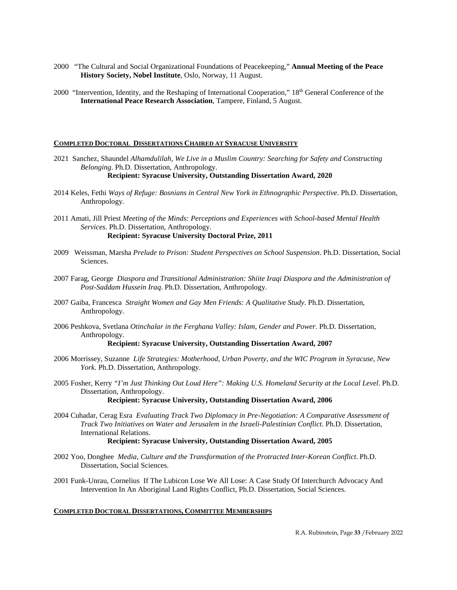- 2000 "The Cultural and Social Organizational Foundations of Peacekeeping," **Annual Meeting of the Peace History Society, Nobel Institute**, Oslo, Norway, 11 August.
- 2000 "Intervention, Identity, and the Reshaping of International Cooperation," 18<sup>th</sup> General Conference of the **International Peace Research Association**, Tampere, Finland, 5 August.

#### **COMPLETED DOCTORAL DISSERTATIONS CHAIRED AT SYRACUSE UNIVERSITY**

- 2021 Sanchez, Shaundel *Alhamdulilah, We Live in a Muslim Country: Searching for Safety and Constructing Belonging*. Ph.D. Dissertation, Anthropology. **Recipient: Syracuse University, Outstanding Dissertation Award, 2020**
- 2014 Keles, Fethi *Ways of Refuge: Bosnians in Central New York in Ethnographic Perspective*. Ph.D. Dissertation, Anthropology.
- 2011 Amati, Jill Priest *Meeting of the Minds: Perceptions and Experiences with School-based Mental Health Services*. Ph.D. Dissertation, Anthropology. **Recipient: Syracuse University Doctoral Prize, 2011**
- 2009 Weissman, Marsha *Prelude to Prison: Student Perspectives on School Suspension*. Ph.D. Dissertation, Social Sciences.
- 2007 Farag, George *Diaspora and Transitional Administration: Shiite Iraqi Diaspora and the Administration of Post-Saddam Hussein Iraq*. Ph.D. Dissertation, Anthropology.
- 2007 Gaiba, Francesca *Straight Women and Gay Men Friends: A Qualitative Study*. Ph.D. Dissertation, Anthropology.
- 2006 Peshkova, Svetlana *Otinchalar in the Ferghana Valley: Islam, Gender and Power*. Ph.D. Dissertation, Anthropology.

## **Recipient: Syracuse University, Outstanding Dissertation Award, 2007**

- 2006 Morrissey, Suzanne *Life Strategies: Motherhood, Urban Poverty, and the WIC Program in Syracuse, New York.* Ph.D. Dissertation, Anthropology.
- 2005 Fosher, Kerry *"I'm Just Thinking Out Loud Here": Making U.S. Homeland Security at the Local Level*. Ph.D. Dissertation, Anthropology.

#### **Recipient: Syracuse University, Outstanding Dissertation Award, 2006**

2004 Cuhadar, Cerag Esra *Evaluating Track Two Diplomacy in Pre-Negotiation: A Comparative Assessment of Track Two Initiatives on Water and Jerusalem in the Israeli-Palestinian Conflict*. Ph.D. Dissertation, International Relations.

#### **Recipient: Syracuse University, Outstanding Dissertation Award, 2005**

- 2002 Yoo, Donghee *Media, Culture and the Transformation of the Protracted Inter-Korean Conflict*. Ph.D. Dissertation, Social Sciences.
- 2001 Funk-Unrau, Cornelius If The Lubicon Lose We All Lose: A Case Study Of Interchurch Advocacy And Intervention In An Aboriginal Land Rights Conflict, Ph.D. Dissertation, Social Sciences.

#### **COMPLETED DOCTORAL DISSERTATIONS, COMMITTEE MEMBERSHIPS**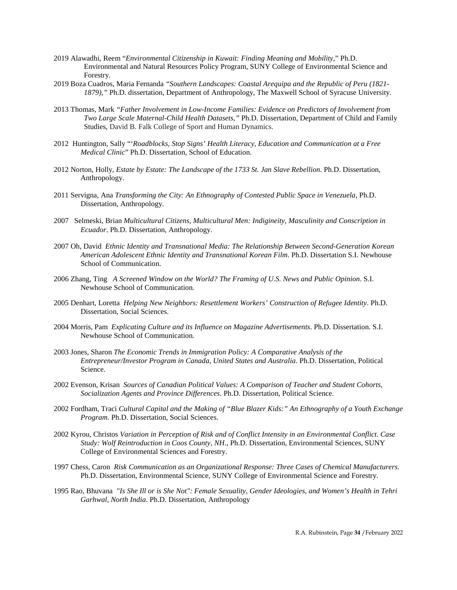- 2019 Alawadhi, Reem "*Environmental Citizenship in Kuwait: Finding Meaning and Mobility*," Ph.D. Environmental and Natural Resources Policy Program, SUNY College of Environmental Science and Forestry.
- 2019 Boza Cuadros, Maria Fernanda *"Southern Landscapes: Coastal Arequipa and the Republic of Peru (1821- 1879),"* Ph.D. dissertation, Department of Anthropology, The Maxwell School of Syracuse University.
- 2013 Thomas, Mark *"Father Involvement in Low-Income Families: Evidence on Predictors of Involvement from Two Large Scale Maternal-Child Health Datasets,"* Ph.D. Dissertation, Department of Child and Family Studies, David B. Falk College of Sport and Human Dynamics.
- 2012 Huntington, Sally "'*Roadblocks, Stop Signs' Health Literacy, Education and Communication at a Free Medical Clinic*" Ph.D. Dissertation, School of Education.
- 2012 Norton, Holly, *Estate by Estate: The Landscape of the 1733 St. Jan Slave Rebellion*. Ph.D. Dissertation, Anthropology.
- 2011 Servigna, Ana *Transforming the City: An Ethnography of Contested Public Space in Venezuela*, Ph.D. Dissertation, Anthropology.
- 2007 Selmeski, Brian *Multicultural Citizens, Multicultural Men: Indigineity, Masculinity and Conscription in Ecuador.* Ph.D. Dissertation, Anthropology.
- 2007 Oh, David *Ethnic Identity and Transnational Media: The Relationship Between Second-Generation Korean American Adolescent Ethnic Identity and Transnational Korean Film*. Ph.D. Dissertation S.I. Newhouse School of Communication.
- 2006 Zhang, Ting *A Screened Window on the World? The Framing of U.S. News and Public Opinion*. S.I. Newhouse School of Communication.
- 2005 Denhart, Loretta *Helping New Neighbors: Resettlement Workers' Construction of Refugee Identity*. Ph.D. Dissertation, Social Sciences.
- 2004 Morris, Pam *Explicating Culture and its Influence on Magazine Advertisements*. Ph.D. Dissertation. S.I. Newhouse School of Communication.
- 2003 Jones, Sharon *The Economic Trends in Immigration Policy: A Comparative Analysis of the Entrepreneur/Investor Program in Canada, United States and Australia*. Ph.D. Dissertation, Political Science.
- 2002 Evenson, Krisan *Sources of Canadian Political Values: A Comparison of Teacher and Student Cohorts, Socialization Agents and Province Differences*. Ph.D. Dissertation, Political Science.
- 2002 Fordham, Traci *Cultural Capital and the Making of "Blue Blazer Kids:" An Ethnography of a Youth Exchange Program*. Ph.D. Dissertation, Social Sciences.
- 2002 Kyrou, Christos *Variation in Perception of Risk and of Conflict Intensity in an Environmental Conflict. Case Study: Wolf Reintroduction in Coos County, NH*., Ph.D. Dissertation, Environmental Sciences, SUNY College of Environmental Sciences and Forestry.
- 1997 Chess, Caron *Risk Communication as an Organizational Response: Three Cases of Chemical Manufacturers*. Ph.D. Dissertation, Environmental Science, SUNY College of Environmental Science and Forestry.
- 1995 Rao, Bhuvana *"Is She Ill or is She Not": Female Sexuality, Gender Ideologies, and Women's Health in Tehri Garhwal, North India*. Ph.D. Dissertation, Anthropology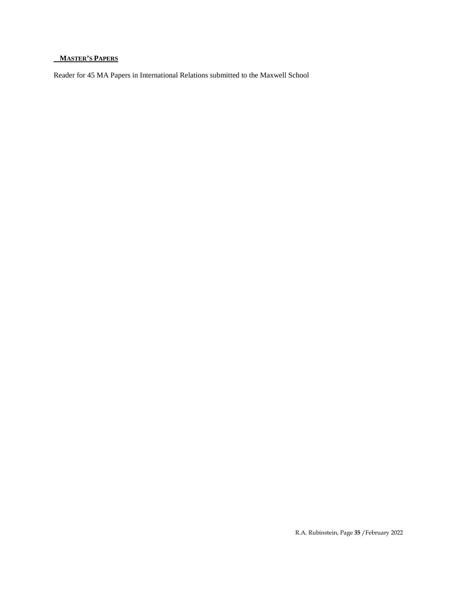# **MASTER'S PAPERS**

Reader for 45 MA Papers in International Relations submitted to the Maxwell School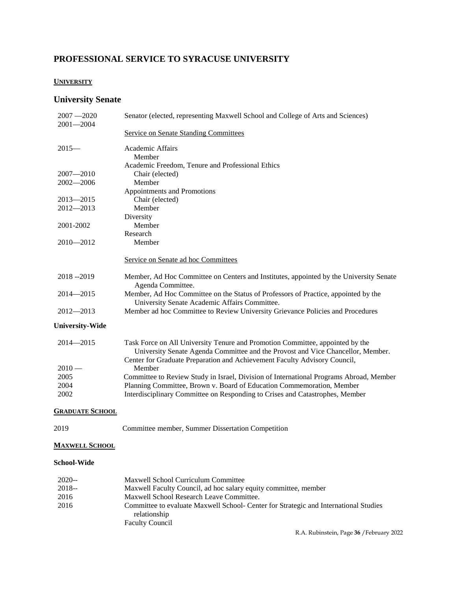# **PROFESSIONAL SERVICE TO SYRACUSE UNIVERSITY**

# **UNIVERSITY**

# **University Senate**

| $2007 - 2020$<br>$2001 - 2004$ | Senator (elected, representing Maxwell School and College of Arts and Sciences)                                                                                                                                                               |
|--------------------------------|-----------------------------------------------------------------------------------------------------------------------------------------------------------------------------------------------------------------------------------------------|
|                                | Service on Senate Standing Committees                                                                                                                                                                                                         |
| $2015-$                        | Academic Affairs                                                                                                                                                                                                                              |
|                                | Member                                                                                                                                                                                                                                        |
| $2007 - 2010$                  | Academic Freedom, Tenure and Professional Ethics<br>Chair (elected)                                                                                                                                                                           |
| $2002 - 2006$                  | Member                                                                                                                                                                                                                                        |
|                                | Appointments and Promotions                                                                                                                                                                                                                   |
| $2013 - 2015$                  | Chair (elected)                                                                                                                                                                                                                               |
| $2012 - 2013$                  | Member                                                                                                                                                                                                                                        |
|                                | Diversity                                                                                                                                                                                                                                     |
| 2001-2002                      | Member                                                                                                                                                                                                                                        |
| $2010 - 2012$                  | Research<br>Member                                                                                                                                                                                                                            |
|                                |                                                                                                                                                                                                                                               |
|                                | Service on Senate ad hoc Committees                                                                                                                                                                                                           |
| 2018--2019                     | Member, Ad Hoc Committee on Centers and Institutes, appointed by the University Senate<br>Agenda Committee.                                                                                                                                   |
| $2014 - 2015$                  | Member, Ad Hoc Committee on the Status of Professors of Practice, appointed by the<br>University Senate Academic Affairs Committee.                                                                                                           |
| $2012 - 2013$                  | Member ad hoc Committee to Review University Grievance Policies and Procedures                                                                                                                                                                |
| <b>University-Wide</b>         |                                                                                                                                                                                                                                               |
| $2014 - 2015$                  | Task Force on All University Tenure and Promotion Committee, appointed by the<br>University Senate Agenda Committee and the Provost and Vice Chancellor, Member.<br>Center for Graduate Preparation and Achievement Faculty Advisory Council, |
| $2010 -$                       | Member                                                                                                                                                                                                                                        |
| 2005                           | Committee to Review Study in Israel, Division of International Programs Abroad, Member                                                                                                                                                        |
| 2004                           | Planning Committee, Brown v. Board of Education Commemoration, Member                                                                                                                                                                         |
| 2002                           | Interdisciplinary Committee on Responding to Crises and Catastrophes, Member                                                                                                                                                                  |
| <b>GRADUATE SCHOOL</b>         |                                                                                                                                                                                                                                               |
| 2019                           | Committee member, Summer Dissertation Competition                                                                                                                                                                                             |
| <b>MAXWELL SCHOOL</b>          |                                                                                                                                                                                                                                               |
| <b>School-Wide</b>             |                                                                                                                                                                                                                                               |

| $2020 -$ | Maxwell School Curriculum Committee                                                  |
|----------|--------------------------------------------------------------------------------------|
| $2018 -$ | Maxwell Faculty Council, ad hoc salary equity committee, member                      |
| 2016     | Maxwell School Research Leave Committee.                                             |
| 2016     | Committee to evaluate Maxwell School- Center for Strategic and International Studies |
|          | relationship                                                                         |
|          | <b>Faculty Council</b>                                                               |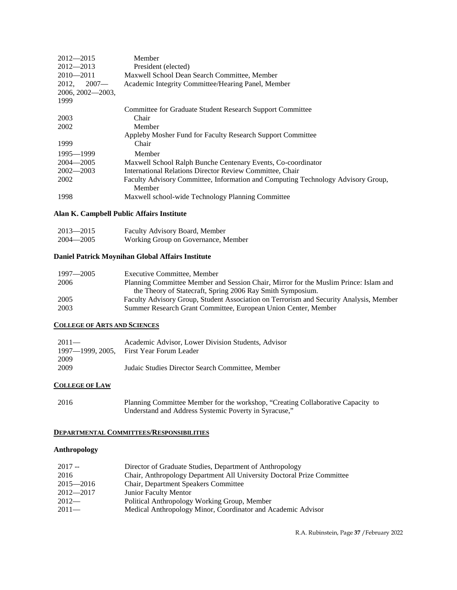| $2012 - 2015$       | Member                                                                                     |
|---------------------|--------------------------------------------------------------------------------------------|
| $2012 - 2013$       | President (elected)                                                                        |
| $2010 - 2011$       | Maxwell School Dean Search Committee, Member                                               |
| $2012, 2007$ —      | Academic Integrity Committee/Hearing Panel, Member                                         |
| $2006, 2002 - 2003$ |                                                                                            |
| 1999                |                                                                                            |
|                     | Committee for Graduate Student Research Support Committee                                  |
| 2003                | Chair                                                                                      |
| 2002                | Member                                                                                     |
|                     | Appleby Mosher Fund for Faculty Research Support Committee                                 |
| 1999                | Chair                                                                                      |
| 1995—1999           | Member                                                                                     |
| $2004 - 2005$       | Maxwell School Ralph Bunche Centenary Events, Co-coordinator                               |
| $2002 - 2003$       | International Relations Director Review Committee, Chair                                   |
| 2002                | Faculty Advisory Committee, Information and Computing Technology Advisory Group,<br>Member |
| 1998                | Maxwell school-wide Technology Planning Committee                                          |

# **Alan K. Campbell Public Affairs Institute**

| $2013 - 2015$ | Faculty Advisory Board, Member      |
|---------------|-------------------------------------|
| $2004 - 2005$ | Working Group on Governance, Member |

# **Daniel Patrick Moynihan Global Affairs Institute**

| 1997—2005 | Executive Committee, Member                                                            |
|-----------|----------------------------------------------------------------------------------------|
| 2006      | Planning Committee Member and Session Chair, Mirror for the Muslim Prince: Islam and   |
|           | the Theory of Statecraft, Spring 2006 Ray Smith Symposium.                             |
| 2005      | Faculty Advisory Group, Student Association on Terrorism and Security Analysis, Member |
| 2003      | Summer Research Grant Committee, European Union Center, Member                         |
|           |                                                                                        |

# **COLLEGE OF ARTS AND SCIENCES**

| $2011 -$         | Academic Advisor, Lower Division Students, Advisor |
|------------------|----------------------------------------------------|
| 1997—1999, 2005. | First Year Forum Leader                            |
| 2009             |                                                    |
| 2009             | Judaic Studies Director Search Committee, Member   |

# **COLLEGE OF LAW**

| 2016 | Planning Committee Member for the workshop, "Creating Collaborative Capacity to |
|------|---------------------------------------------------------------------------------|
|      | Understand and Address Systemic Poverty in Syracuse,"                           |

# **DEPARTMENTAL COMMITTEES/RESPONSIBILITIES**

# **Anthropology**

| $2017 -$      | Director of Graduate Studies, Department of Anthropology               |
|---------------|------------------------------------------------------------------------|
| 2016          | Chair, Anthropology Department All University Doctoral Prize Committee |
| $2015 - 2016$ | Chair, Department Speakers Committee                                   |
| $2012 - 2017$ | Junior Faculty Mentor                                                  |
| $2012-$       | Political Anthropology Working Group, Member                           |
| $2011-$       | Medical Anthropology Minor, Coordinator and Academic Advisor           |